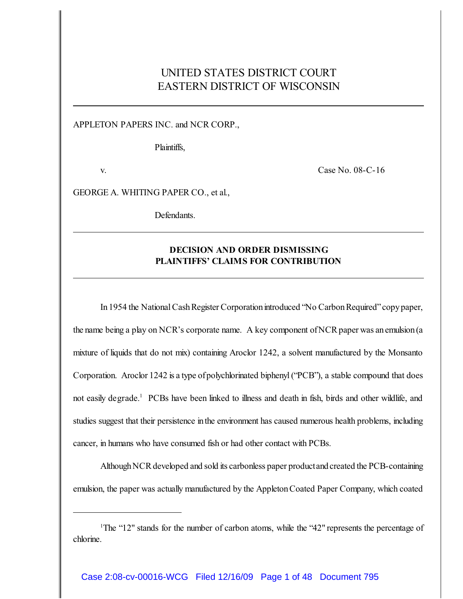## UNITED STATES DISTRICT COURT EASTERN DISTRICT OF WISCONSIN

APPLETON PAPERS INC. and NCR CORP.,

Plaintiffs,

v. Case No. 08-C-16

GEORGE A. WHITING PAPER CO., et al.,

Defendants.

## **DECISION AND ORDER DISMISSING PLAINTIFFS' CLAIMS FOR CONTRIBUTION**

In 1954 the National Cash Register Corporation introduced "No Carbon Required" copy paper, the name being a play on NCR's corporate name. A key component of NCR paper was an emulsion (a mixture of liquids that do not mix) containing Aroclor 1242, a solvent manufactured by the Monsanto Corporation. Aroclor 1242 is a type ofpolychlorinated biphenyl ("PCB"), a stable compound that does not easily degrade.<sup>1</sup> PCBs have been linked to illness and death in fish, birds and other wildlife, and studies suggest that their persistence in the environment has caused numerous health problems, including cancer, in humans who have consumed fish or had other contact with PCBs.

Although NCR developed and sold its carbonless paper productand created the PCB-containing emulsion, the paper was actually manufactured by the AppletonCoated Paper Company, which coated

<sup>1</sup>The "12" stands for the number of carbon atoms, while the "42" represents the percentage of chlorine.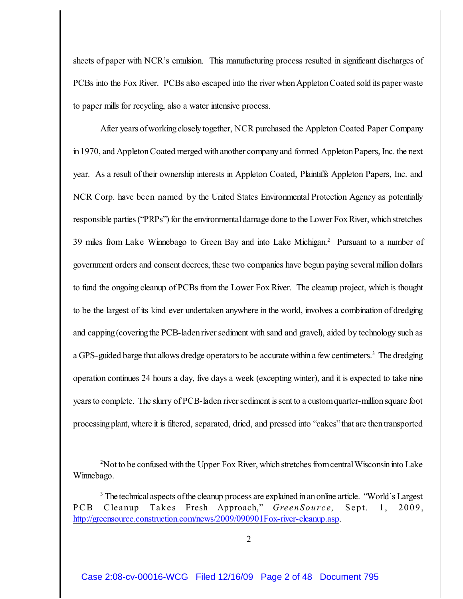sheets of paper with NCR's emulsion. This manufacturing process resulted in significant discharges of PCBs into the Fox River. PCBs also escaped into the river when Appleton Coated sold its paper waste to paper mills for recycling, also a water intensive process.

After years of working closely together, NCR purchased the Appleton Coated Paper Company in 1970, and Appleton Coated merged with another company and formed Appleton Papers, Inc. the next year. As a result of their ownership interests in Appleton Coated, Plaintiffs Appleton Papers, Inc. and NCR Corp. have been named by the United States Environmental Protection Agency as potentially responsible parties ("PRPs") for the environmental damage done to the Lower Fox River, which stretches 39 miles from Lake Winnebago to Green Bay and into Lake Michigan.<sup>2</sup> Pursuant to a number of government orders and consent decrees, these two companies have begun paying several million dollars to fund the ongoing cleanup of PCBs from the Lower Fox River. The cleanup project, which is thought to be the largest of its kind ever undertaken anywhere in the world, involves a combination of dredging and capping (covering the PCB-laden river sediment with sand and gravel), aided by technology such as a GPS-guided barge that allows dredge operators to be accurate within a few centimeters.<sup>3</sup> The dredging operation continues 24 hours a day, five days a week (excepting winter), and it is expected to take nine years to complete. The slurry of PCB-laden river sediment is sent to a custom quarter-million square foot processingplant, where it is filtered, separated, dried, and pressed into "cakes" that are thentransported

<sup>&</sup>lt;sup>2</sup> Not to be confused with the Upper Fox River, which stretches from central Wisconsin into Lake Winnebago.

<sup>&</sup>lt;sup>3</sup> The technical aspects of the cleanup process are explained in an online article. "World's Largest" PCB Cleanup Takes Fresh Approach," *GreenSource*, Sept. 1, 2009, <http://greensource.construction.com/news/2009/090901Fox-river-cleanup.asp>.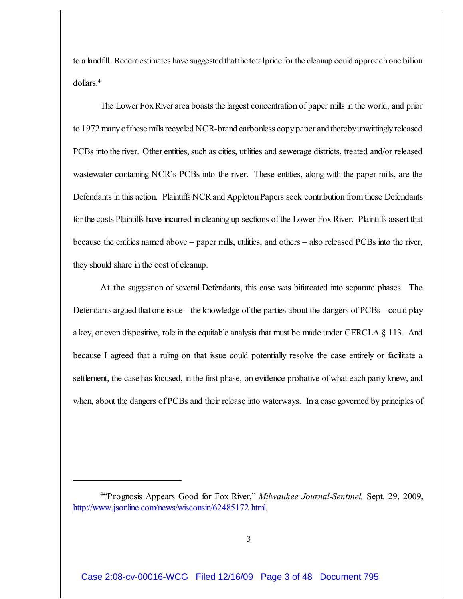to a landfill. Recent estimates have suggested thatthe totalprice for the cleanup could approach one billion dollars.<sup>4</sup>

The Lower Fox River area boasts the largest concentration of paper mills in the world, and prior to 1972 many of these mills recycled NCR-brand carbonless copy paper and therebyunwittingly released PCBs into the river. Other entities, such as cities, utilities and sewerage districts, treated and/or released wastewater containing NCR's PCBs into the river. These entities, along with the paper mills, are the Defendants in this action. Plaintiffs NCR and Appleton Papers seek contribution from these Defendants for the costs Plaintiffs have incurred in cleaning up sections of the Lower Fox River. Plaintiffs assert that because the entities named above – paper mills, utilities, and others – also released PCBs into the river, they should share in the cost of cleanup.

At the suggestion of several Defendants, this case was bifurcated into separate phases. The Defendants argued that one issue – the knowledge of the parties about the dangers of PCBs – could play a key, or even dispositive, role in the equitable analysis that must be made under CERCLA § 113. And because I agreed that a ruling on that issue could potentially resolve the case entirely or facilitate a settlement, the case has focused, in the first phase, on evidence probative of what each party knew, and when, about the dangers of PCBs and their release into waterways. In a case governed by principles of

<sup>&</sup>quot;Prognosis Appears Good for Fox River," *Milwaukee Journal-Sentinel,* Sept. 29, 2009, <sup>4</sup> <http://www.jsonline.com/news/wisconsin/62485172.html>.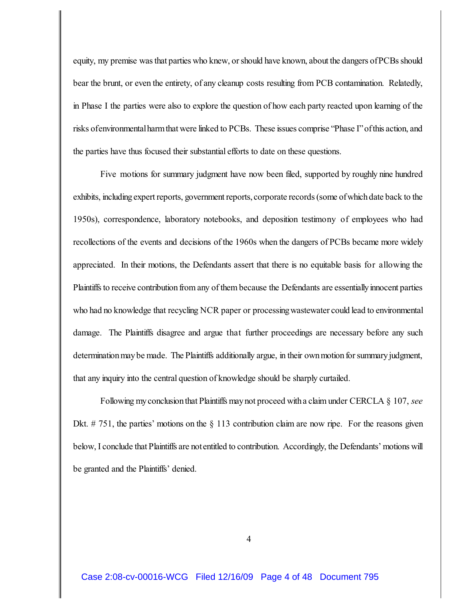equity, my premise was that parties who knew, or should have known, about the dangers of PCBs should bear the brunt, or even the entirety, of any cleanup costs resulting from PCB contamination. Relatedly, in Phase I the parties were also to explore the question of how each party reacted upon learning of the risks ofenvironmental harm that were linked to PCBs. These issues comprise "Phase I" of this action, and the parties have thus focused their substantial efforts to date on these questions.

Five motions for summary judgment have now been filed, supported by roughly nine hundred exhibits, including expert reports, government reports, corporate records (some of which date back to the 1950s), correspondence, laboratory notebooks, and deposition testimony of employees who had recollections of the events and decisions of the 1960s when the dangers of PCBs became more widely appreciated. In their motions, the Defendants assert that there is no equitable basis for allowing the Plaintiffs to receive contribution from any of them because the Defendants are essentially innocent parties who had no knowledge that recycling NCR paper or processing wastewater could lead to environmental damage. The Plaintiffs disagree and argue that further proceedings are necessary before any such determination may be made. The Plaintiffs additionally argue, in their own motion for summary judgment, that any inquiry into the central question of knowledge should be sharply curtailed.

Following my conclusion that Plaintiffs may not proceed with a claim under CERCLA § 107, *see* Dkt.  $# 751$ , the parties' motions on the  $§ 113$  contribution claim are now ripe. For the reasons given below, I conclude that Plaintiffs are not entitled to contribution. Accordingly, the Defendants' motions will be granted and the Plaintiffs' denied.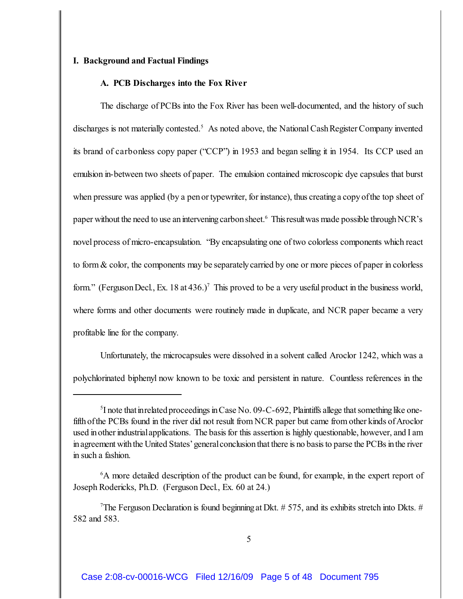## **I. Background and Factual Findings**

## **A. PCB Discharges into the Fox River**

The discharge of PCBs into the Fox River has been well-documented, and the history of such discharges is not materially contested.<sup>5</sup> As noted above, the National Cash Register Company invented its brand of carbonless copy paper ("CCP") in 1953 and began selling it in 1954. Its CCP used an emulsion in-between two sheets of paper. The emulsion contained microscopic dye capsules that burst when pressure was applied (by a pen or typewriter, for instance), thus creating a copy of the top sheet of paper without the need to use an intervening carbon sheet.<sup>6</sup> This result was made possible through NCR's novel process of micro-encapsulation. "By encapsulating one of two colorless components which react to form & color, the components may be separately carried by one or more pieces of paper in colorless form." (Ferguson Decl., Ex. 18 at  $436.$ )<sup>7</sup> This proved to be a very useful product in the business world, where forms and other documents were routinely made in duplicate, and NCR paper became a very profitable line for the company.

Unfortunately, the microcapsules were dissolved in a solvent called Aroclor 1242, which was a polychlorinated biphenyl now known to be toxic and persistent in nature. Countless references in the

 ${}^5$ I note that in related proceedings in Case No. 09-C-692, Plaintiffs allege that something like onefifth of the PCBs found in the river did not result from NCR paper but came from other kinds of Aroclor used in other industrial applications. The basis for this assertion is highly questionable, however, and I am in agreement with the United States'general conclusion that there is no basis to parse the PCBs in the river in such a fashion.

 ${}^{6}$ A more detailed description of the product can be found, for example, in the expert report of Joseph Rodericks, Ph.D. (Ferguson Decl., Ex. 60 at 24.)

<sup>&</sup>lt;sup>7</sup>The Ferguson Declaration is found beginning at Dkt.  $# 575$ , and its exhibits stretch into Dkts.  $#$ 582 and 583.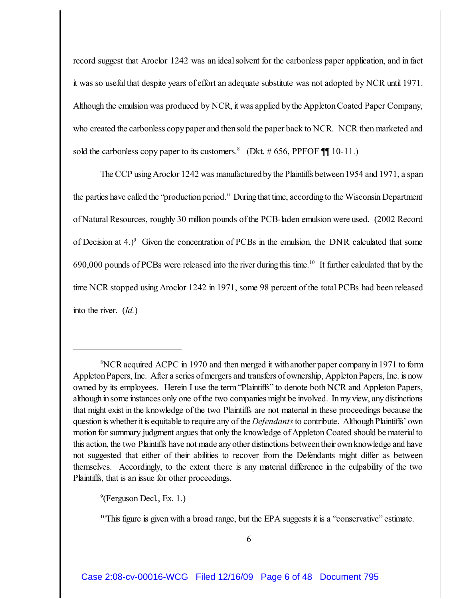record suggest that Aroclor 1242 was an ideal solvent for the carbonless paper application, and in fact it was so useful that despite years of effort an adequate substitute was not adopted by NCR until 1971. Although the emulsion was produced by NCR, it was applied by the AppletonCoated Paper Company, who created the carbonless copy paper and then sold the paper back to NCR. NCR then marketed and sold the carbonless copy paper to its customers.<sup>8</sup> (Dkt. # 656, PPFOF  $\P\P$  10-11.)

The CCP using Aroclor 1242 was manufactured by the Plaintiffs between 1954 and 1971, a span the parties have called the "production period." During that time, according to the Wisconsin Department of Natural Resources, roughly 30 million pounds of the PCB-laden emulsion were used. (2002 Record of Decision at  $4.$ )<sup>9</sup> Given the concentration of PCBs in the emulsion, the DNR calculated that some  $690,000$  pounds of PCBs were released into the river during this time.<sup>10</sup> It further calculated that by the time NCR stopped using Aroclor 1242 in 1971, some 98 percent of the total PCBs had been released into the river. (*Id.*)

 $<sup>9</sup>(Ferguson Decl., Ex. 1.)$ </sup>

<sup>10</sup>This figure is given with a broad range, but the EPA suggests it is a "conservative" estimate.

<sup>&</sup>lt;sup>8</sup>NCR acquired ACPC in 1970 and then merged it with another paper company in 1971 to form Appleton Papers, Inc. After a series of mergers and transfers of ownership, Appleton Papers, Inc. is now owned by its employees. Herein I use the term "Plaintiffs" to denote both NCR and Appleton Papers, although in some instances only one of the two companies might be involved. In my view, any distinctions that might exist in the knowledge of the two Plaintiffs are not material in these proceedings because the question is whether it is equitable to require any of the *Defendants* to contribute. Although Plaintiffs' own motion for summary judgment argues that only the knowledge of Appleton Coated should be material to this action, the two Plaintiffs have not made any other distinctions between their own knowledge and have not suggested that either of their abilities to recover from the Defendants might differ as between themselves. Accordingly, to the extent there is any material difference in the culpability of the two Plaintiffs, that is an issue for other proceedings.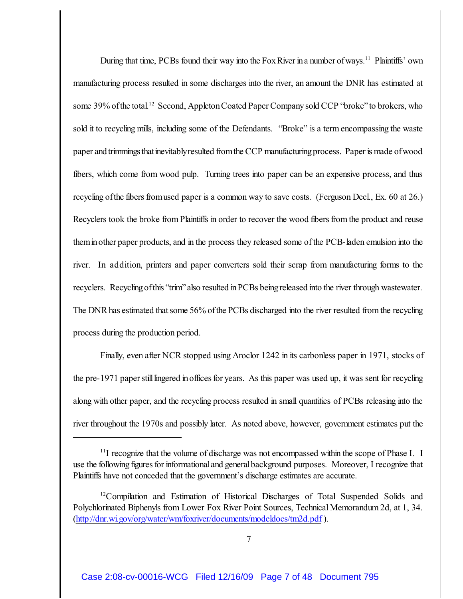During that time, PCBs found their way into the Fox River in a number of ways.<sup>11</sup> Plaintiffs' own manufacturing process resulted in some discharges into the river, an amount the DNR has estimated at some 39% of the total.<sup>12</sup> Second, Appleton Coated Paper Company sold CCP "broke" to brokers, who sold it to recycling mills, including some of the Defendants. "Broke" is a term encompassing the waste paper and trimmingsthatinevitablyresulted from the CCP manufacturing process. Paper is made of wood fibers, which come from wood pulp. Turning trees into paper can be an expensive process, and thus recycling of the fibers from used paper is a common way to save costs. (Ferguson Decl., Ex. 60 at 26.) Recyclers took the broke from Plaintiffs in order to recover the wood fibers from the product and reuse theminother paper products, and in the process they released some of the PCB-laden emulsion into the river. In addition, printers and paper converters sold their scrap from manufacturing forms to the recyclers. Recycling of this "trim" also resulted in PCBs being released into the river through wastewater. The DNR has estimated that some 56% of the PCBs discharged into the river resulted from the recycling process during the production period.

Finally, even after NCR stopped using Aroclor 1242 in its carbonless paper in 1971, stocks of the pre-1971 paper still lingered in offices for years. As this paper was used up, it was sent for recycling along with other paper, and the recycling process resulted in small quantities of PCBs releasing into the river throughout the 1970s and possibly later. As noted above, however, government estimates put the

 $11$  recognize that the volume of discharge was not encompassed within the scope of Phase I. I use the following figures for informational and general background purposes. Moreover, I recognize that Plaintiffs have not conceded that the government's discharge estimates are accurate.

<sup>&</sup>lt;sup>12</sup>Compilation and Estimation of Historical Discharges of Total Suspended Solids and Polychlorinated Biphenyls from Lower Fox River Point Sources, Technical Memorandum 2d, at 1, 34. [\(http://dnr.wi.gov/org/water/wm/foxriver/documents/modeldocs/tm2d.pdf](http://dnr.wi.gov/org/water/wm/foxriver/documents/modeldocs/tm2d.pdf) ).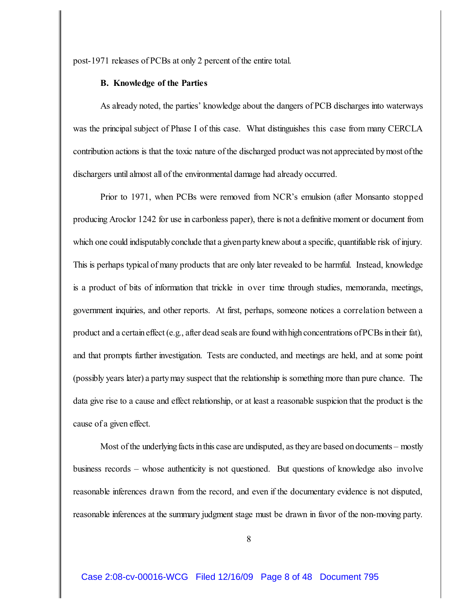post-1971 releases of PCBs at only 2 percent of the entire total.

### **B. Knowledge of the Parties**

As already noted, the parties' knowledge about the dangers of PCB discharges into waterways was the principal subject of Phase I of this case. What distinguishes this case from many CERCLA contribution actions is that the toxic nature of the discharged product was not appreciated bymost ofthe dischargers until almost all of the environmental damage had already occurred.

Prior to 1971, when PCBs were removed from NCR's emulsion (after Monsanto stopped producing Aroclor 1242 for use in carbonless paper), there is not a definitive moment or document from which one could indisputably conclude that a given party knew about a specific, quantifiable risk of injury. This is perhaps typical of many products that are only later revealed to be harmful. Instead, knowledge is a product of bits of information that trickle in over time through studies, memoranda, meetings, government inquiries, and other reports. At first, perhaps, someone notices a correlation between a product and a certain effect (e.g., after dead seals are found with high concentrations of PCBs in their fat), and that prompts further investigation. Tests are conducted, and meetings are held, and at some point (possibly years later) a partymay suspect that the relationship is something more than pure chance. The data give rise to a cause and effect relationship, or at least a reasonable suspicion that the product is the cause of a given effect.

Most of the underlying facts in this case are undisputed, as they are based on documents – mostly business records – whose authenticity is not questioned. But questions of knowledge also involve reasonable inferences drawn from the record, and even if the documentary evidence is not disputed, reasonable inferences at the summary judgment stage must be drawn in favor of the non-moving party.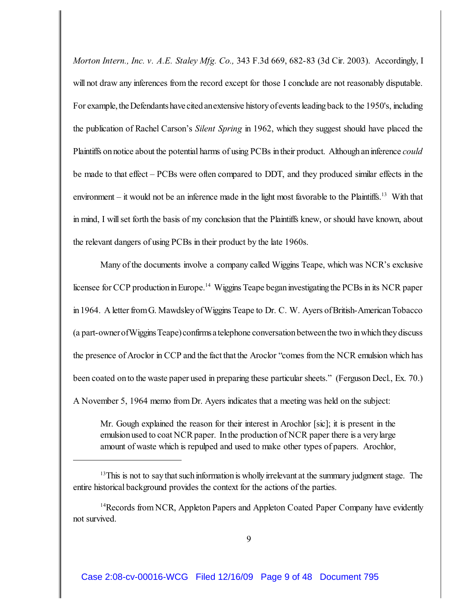*Morton Intern., Inc. v. A.E. Staley Mfg. Co.,* 343 F.3d 669, 682-83 (3d Cir. 2003). Accordingly, I will not draw any inferences from the record except for those I conclude are not reasonably disputable. For example, the Defendants have cited an extensive history of events leading back to the 1950's, including the publication of Rachel Carson's *Silent Spring* in 1962, which they suggest should have placed the Plaintiffs on notice about the potential harms of using PCBs in their product. Although an inference *could* be made to that effect – PCBs were often compared to DDT, and they produced similar effects in the environment – it would not be an inference made in the light most favorable to the Plaintiffs.<sup>13</sup> With that in mind, I will set forth the basis of my conclusion that the Plaintiffs knew, or should have known, about the relevant dangers of using PCBs in their product by the late 1960s.

Many of the documents involve a company called Wiggins Teape, which was NCR's exclusive licensee for CCP production in Europe.<sup>14</sup> Wiggins Teape began investigating the PCBs in its NCR paper in 1964. A letter from G. Mawdsley of Wiggins Teape to Dr. C. W. Ayers of British-American Tobacco (a part-owner of Wiggins Teape) confirms a telephone conversation between the two in which they discuss the presence of Aroclor in CCP and the fact that the Aroclor "comes from the NCR emulsion which has been coated onto the waste paper used in preparing these particular sheets." (Ferguson Decl., Ex. 70.) A November 5, 1964 memo from Dr. Ayers indicates that a meeting was held on the subject:

Mr. Gough explained the reason for their interest in Arochlor [sic]; it is present in the emulsion used to coat NCR paper. In the production of NCR paper there is a very large amount of waste which is repulped and used to make other types of papers. Arochlor,

 $13$ This is not to say that such information is wholly irrelevant at the summary judgment stage. The entire historical background provides the context for the actions of the parties.

<sup>&</sup>lt;sup>14</sup> Records from NCR, Appleton Papers and Appleton Coated Paper Company have evidently not survived.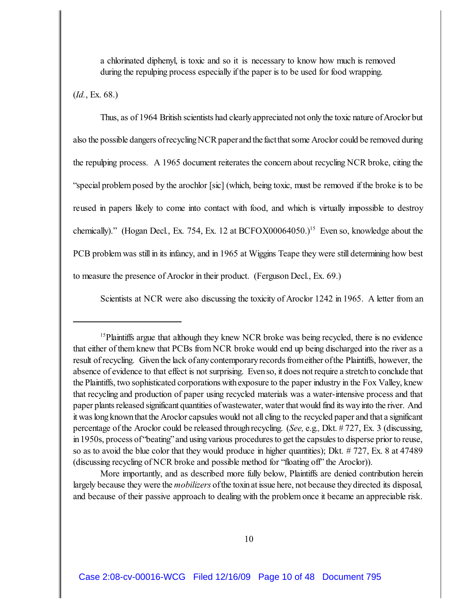a chlorinated diphenyl, is toxic and so it is necessary to know how much is removed during the repulping process especially if the paper is to be used for food wrapping.

(*Id.*, Ex. 68.)

Thus, as of 1964 British scientists had clearly appreciated not only the toxic nature of Aroclor but also the possible dangers of recycling NCR paper andthe fact that some Aroclor could be removed during the repulping process. A 1965 document reiterates the concern about recycling NCR broke, citing the "special problem posed by the arochlor [sic] (which, being toxic, must be removed if the broke is to be reused in papers likely to come into contact with food, and which is virtually impossible to destroy chemically)." (Hogan Decl., Ex. 754, Ex. 12 at BCFOX00064050.)<sup>15</sup> Even so, knowledge about the PCB problem was still in its infancy, and in 1965 at Wiggins Teape they were still determining how best to measure the presence of Aroclor in their product. (Ferguson Decl., Ex. 69.)

Scientists at NCR were also discussing the toxicity of Aroclor 1242 in 1965. A letter from an

More importantly, and as described more fully below, Plaintiffs are denied contribution herein largely because they were the *mobilizers* of the toxin at issue here, not because they directed its disposal, and because of their passive approach to dealing with the problem once it became an appreciable risk.

<sup>&</sup>lt;sup>15</sup>Plaintiffs argue that although they knew NCR broke was being recycled, there is no evidence that either of them knew that PCBs from NCR broke would end up being discharged into the river as a result of recycling. Given the lack of any contemporary records from either of the Plaintiffs, however, the absence of evidence to that effect is not surprising. Even so, it does not require a stretch to conclude that the Plaintiffs, two sophisticated corporations with exposure to the paper industry in the Fox Valley, knew that recycling and production of paper using recycled materials was a water-intensive process and that paper plants released significant quantities of wastewater, water that would find its way into the river. And it was long known that the Aroclor capsules would not all cling to the recycled paper and that a significant percentage of the Aroclor could be released throughrecycling. (*See,* e.g.*,* Dkt. # 727, Ex. 3 (discussing, in 1950s, process of "beating" and using various procedures to get the capsules to disperse prior to reuse, so as to avoid the blue color that they would produce in higher quantities); Dkt. # 727, Ex. 8 at 47489 (discussing recycling of NCR broke and possible method for "floating off" the Aroclor)).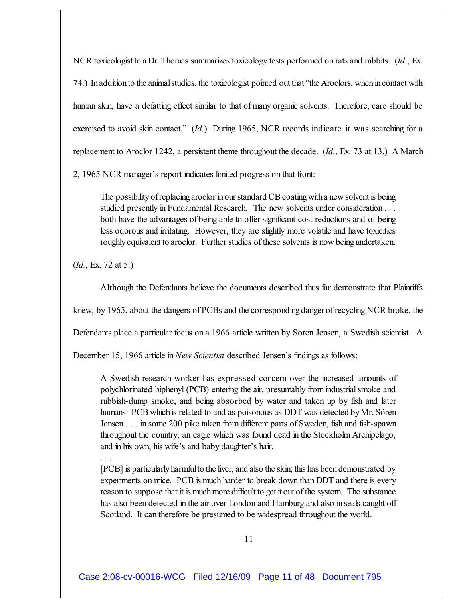NCR toxicologist to a Dr. Thomas summarizes toxicology tests performed on rats and rabbits. (*Id.*, Ex. 74.) In addition to the animal studies, the toxicologist pointed out that "the Aroclors, when in contact with human skin, have a defatting effect similar to that of many organic solvents. Therefore, care should be exercised to avoid skin contact." (*Id.*) During 1965, NCR records indicate it was searching for a replacement to Aroclor 1242, a persistent theme throughout the decade. (*Id.*, Ex. 73 at 13.) A March

2, 1965 NCR manager's report indicates limited progress on that front:

The possibility of replacing aroclor in our standard CB coating with a new solvent is being studied presently in Fundamental Research. The new solvents under consideration . . . both have the advantages of being able to offer significant cost reductions and of being less odorous and irritating. However, they are slightly more volatile and have toxicities roughly equivalent to aroclor. Further studies of these solvents is now being undertaken.

(*Id.*, Ex. 72 at 5.)

. . .

Although the Defendants believe the documents described thus far demonstrate that Plaintiffs

knew, by 1965, about the dangers of PCBs and the correspondingdanger of recycling NCR broke, the

Defendants place a particular focus on a 1966 article written by Soren Jensen, a Swedish scientist. A

December 15, 1966 article in *New Scientist* described Jensen's findings as follows:

A Swedish research worker has expressed concern over the increased amounts of polychlorinated biphenyl (PCB) entering the air, presumably from industrial smoke and rubbish-dump smoke, and being absorbed by water and taken up by fish and later humans. PCBwhichis related to and as poisonous as DDT was detected byMr. Sören Jensen . . . in some 200 pike taken from different parts of Sweden, fish and fish-spawn throughout the country, an eagle which was found dead in the Stockholm Archipelago, and in his own, his wife's and baby daughter's hair.

[PCB] is particularly harmful to the liver, and also the skin; this has been demonstrated by experiments on mice. PCB is much harder to break down than DDT and there is every reason to suppose that it is muchmore difficult to get it out of the system. The substance has also been detected in the air over London and Hamburg and also inseals caught off Scotland. It can therefore be presumed to be widespread throughout the world.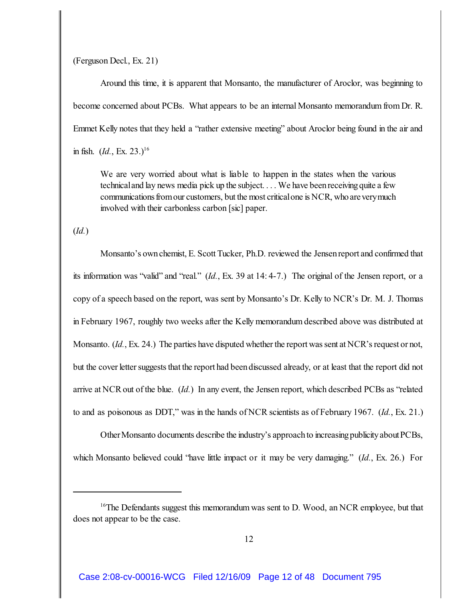(Ferguson Decl., Ex. 21)

Around this time, it is apparent that Monsanto, the manufacturer of Aroclor, was beginning to become concerned about PCBs. What appears to be an internal Monsanto memorandum from Dr. R. Emmet Kelly notes that they held a "rather extensive meeting" about Aroclor being found in the air and in fish.  $(id, \text{Ex. 23.})^{16}$ 

We are very worried about what is liable to happen in the states when the various technical and lay news media pick up the subject. . . . We have been receiving quite a few communicationsfrom our customers, but the most critical one is NCR, who are verymuch involved with their carbonless carbon [sic] paper.

(*Id.*)

Monsanto's own chemist, E. Scott Tucker, Ph.D. reviewed the Jensen report and confirmed that its information was "valid" and "real." (*Id.*, Ex. 39 at 14: 4-7.) The original of the Jensen report, or a copy of a speech based on the report, was sent by Monsanto's Dr. Kelly to NCR's Dr. M. J. Thomas in February 1967, roughly two weeks after the Kelly memorandum described above was distributed at Monsanto. (*Id.*, Ex. 24.) The parties have disputed whether the report was sent at NCR's request or not, but the cover letter suggests that the report had been discussed already, or at least that the report did not arrive at NCR out of the blue. (*Id.*) In any event, the Jensen report, which described PCBs as "related" to and as poisonous as DDT," was in the hands of NCR scientists as of February 1967. (*Id.*, Ex. 21.)

Other Monsanto documents describe the industry's approach to increasing publicity about PCBs, which Monsanto believed could "have little impact or it may be very damaging." (*Id.*, Ex. 26.) For

 $16$ The Defendants suggest this memorandum was sent to D. Wood, an NCR employee, but that does not appear to be the case.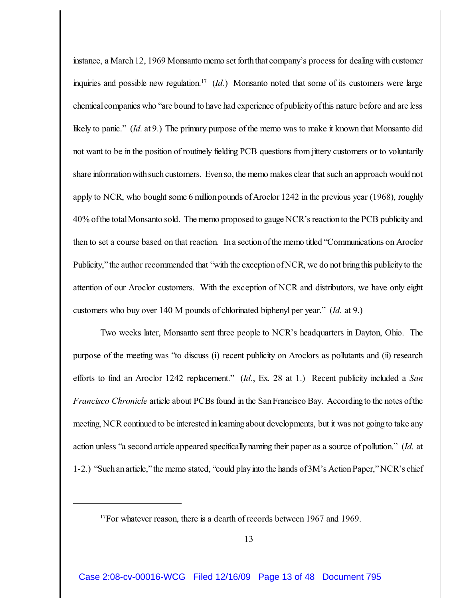instance, a March 12, 1969 Monsanto memo set forth that company's process for dealing with customer inquiries and possible new regulation.<sup>17</sup>  $(Id.)$  Monsanto noted that some of its customers were large chemical companies who "are bound to have had experience of publicity of this nature before and are less likely to panic." (*Id.* at 9.) The primary purpose of the memo was to make it known that Monsanto did not want to be in the position of routinely fielding PCB questions from jittery customers or to voluntarily share information with such customers. Even so, the memo makes clear that such an approach would not apply to NCR, who bought some 6 million pounds of Aroclor 1242 in the previous year (1968), roughly 40% of the total Monsanto sold. The memo proposed to gauge NCR's reaction to the PCB publicity and then to set a course based on that reaction. Ina sectionofthe memo titled "Communications on Aroclor Publicity," the author recommended that "with the exception of NCR, we do not bring this publicity to the attention of our Aroclor customers. With the exception of NCR and distributors, we have only eight customers who buy over 140 M pounds of chlorinated biphenyl per year." (*Id.* at 9.)

Two weeks later, Monsanto sent three people to NCR's headquarters in Dayton, Ohio. The purpose of the meeting was "to discuss (i) recent publicity on Aroclors as pollutants and (ii) research efforts to find an Aroclor 1242 replacement." (*Id.*, Ex. 28 at 1.) Recent publicity included a *San Francisco Chronicle* article about PCBs found in the San Francisco Bay. According to the notes of the meeting, NCR continued to be interested in learning about developments, but it was not going to take any action unless "a second article appeared specificallynaming their paper as a source of pollution." (*Id.* at 1-2.) "Such an article," the memo stated, "could play into the hands of 3M's Action Paper," NCR's chief

 $17$  For whatever reason, there is a dearth of records between 1967 and 1969.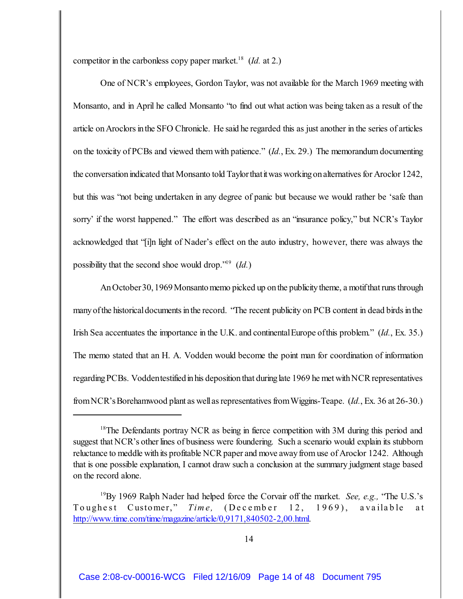competitor in the carbonless copy paper market.<sup>18</sup> (*Id.* at 2.)

One of NCR's employees, Gordon Taylor, was not available for the March 1969 meeting with Monsanto, and in April he called Monsanto "to find out what action was being taken as a result of the article on Aroclors in the SFO Chronicle. He said he regarded this as just another in the series of articles on the toxicity of PCBs and viewed them with patience." (*Id.*, Ex. 29.) The memorandum documenting the conversation indicated that Monsanto told Taylorthatitwas working on alternatives for Aroclor 1242, but this was "not being undertaken in any degree of panic but because we would rather be 'safe than sorry' if the worst happened." The effort was described as an "insurance policy," but NCR's Taylor acknowledged that "[i]n light of Nader's effect on the auto industry, however, there was always the possibility that the second shoe would drop."<sup>19</sup> (*Id.*)

An October30, 1969 Monsanto memo picked up on the publicity theme, a motif that runs through many of the historical documents in the record. "The recent publicity on PCB content in dead birds in the Irish Sea accentuates the importance in the U.K. and continental Europe of this problem." (*Id.*, Ex. 35.) The memo stated that an H. A. Vodden would become the point man for coordination of information regarding PCBs. Voddentestified in his deposition that during late 1969 he met with NCR representatives from NCR'sBorehamwood plant as well as representatives from Wiggins-Teape. (*Id.*, Ex. 36 at 26-30.)

<sup>&</sup>lt;sup>18</sup>The Defendants portray NCR as being in fierce competition with 3M during this period and suggest that NCR's other lines of business were foundering. Such a scenario would explain its stubborn reluctance to meddle with its profitable NCR paper and move away from use of Aroclor 1242. Although that is one possible explanation, I cannot draw such a conclusion at the summary judgment stage based on the record alone.

<sup>&</sup>lt;sup>19</sup>By 1969 Ralph Nader had helped force the Corvair off the market. *See, e.g.*, "The U.S.'s Toughest Customer," *Time*, (December 12, 1969), available at <http://www.time.com/time/magazine/article/0,9171,840502-2,00.html>.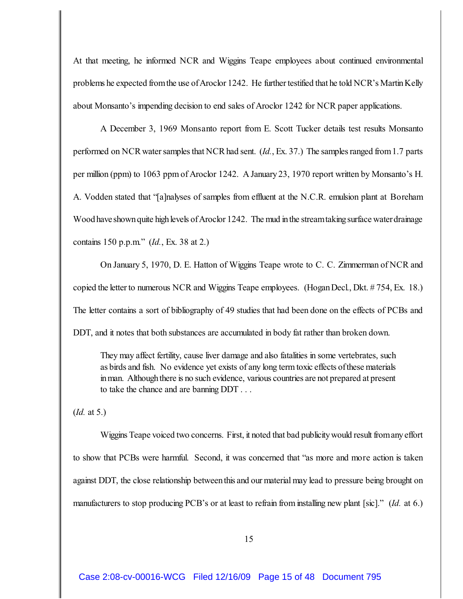At that meeting, he informed NCR and Wiggins Teape employees about continued environmental problems he expected from the use of Aroclor 1242. He further testified that he told NCR's Martin Kelly about Monsanto's impending decision to end sales of Aroclor 1242 for NCR paper applications.

A December 3, 1969 Monsanto report from E. Scott Tucker details test results Monsanto performed on NCR water samples that NCR had sent. (*Id.*, Ex. 37.) The samples ranged from 1.7 parts per million (ppm) to 1063 ppm of Aroclor 1242. A January23, 1970 report written by Monsanto's H. A. Vodden stated that "[a]nalyses of samples from effluent at the N.C.R. emulsion plant at Boreham Wood have shown quite high levels of Aroclor 1242. The mud in the stream taking surface water drainage contains 150 p.p.m." (*Id.*, Ex. 38 at 2.)

On January 5, 1970, D. E. Hatton of Wiggins Teape wrote to C. C. Zimmerman of NCR and copied the letter to numerous NCR and Wiggins Teape employees. (Hogan Decl., Dkt. # 754, Ex. 18.) The letter contains a sort of bibliography of 49 studies that had been done on the effects of PCBs and DDT, and it notes that both substances are accumulated in body fat rather than broken down.

They may affect fertility, cause liver damage and also fatalities in some vertebrates, such as birds and fish. No evidence yet exists of any long term toxic effects ofthese materials in man. Although there is no such evidence, various countries are not prepared at present to take the chance and are banning DDT . . .

(*Id.* at 5.)

Wiggins Teape voiced two concerns. First, it noted that bad publicity would result from any effort to show that PCBs were harmful. Second, it was concerned that "as more and more action is taken against DDT, the close relationship between this and our material may lead to pressure being brought on manufacturers to stop producing PCB's or at least to refrain from installing new plant [sic]." (*Id.* at 6.)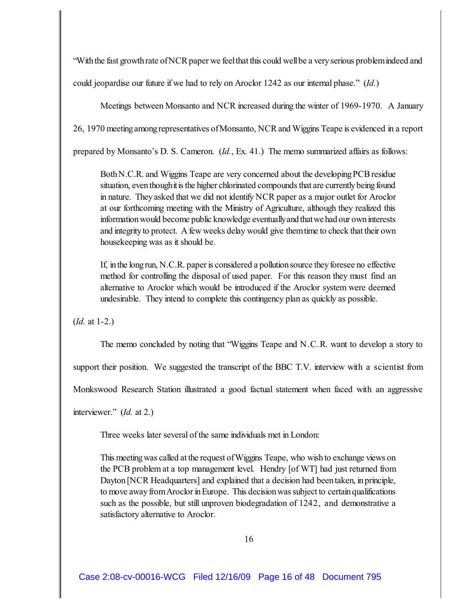"With the fast growth rate of NCR paper we feel that this could well be a very serious problem indeed and

could jeopardise our future if we had to rely on Aroclor 1242 as our internal phase." (*Id.*)

Meetings between Monsanto and NCR increased during the winter of 1969-1970. A January

26, 1970 meeting among representatives of Monsanto, NCR and Wiggins Teape is evidenced in a report

prepared by Monsanto's D. S. Cameron. (*Id.*, Ex. 41.) The memo summarized affairs as follows:

Both N.C.R. and Wiggins Teape are very concerned about the developing PCB residue situation, even though it is the higher chlorinated compounds that are currently being found in nature. Theyasked that we did not identify NCR paper as a major outlet for Aroclor at our forthcoming meeting with the Ministry of Agriculture, although they realized this information would become public knowledge eventuallyandthat wehadour own interests and integrity to protect. A few weeks delay would give them time to check that their own housekeeping was as it should be.

If, in the long run, N.C.R. paper is considered a pollution source they foresee no effective method for controlling the disposal of used paper. For this reason they must find an alternative to Aroclor which would be introduced if the Aroclor system were deemed undesirable. They intend to complete this contingency plan as quickly as possible.

(*Id.* at 1-2.)

The memo concluded by noting that "Wiggins Teape and N.C.R. want to develop a story to

support their position. We suggested the transcript of the BBC T.V. interview with a scientist from

Monkswood Research Station illustrated a good factual statement when faced with an aggressive

interviewer." (*Id.* at 2.)

Three weeks later several of the same individuals met in London:

This meeting was called at the request of Wiggins Teape, who wish to exchange views on the PCB problem at a top management level. Hendry [of WT] had just returned from Dayton [NCR Headquarters] and explained that a decision had been taken, in principle, to move away from Aroclor in Europe. This decision was subject to certain qualifications such as the possible, but still unproven biodegradation of 1242, and demonstrative a satisfactory alternative to Aroclor.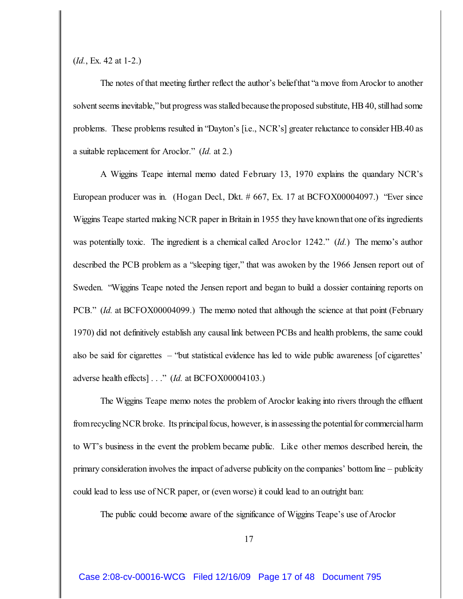(*Id.*, Ex. 42 at 1-2.)

The notes of that meeting further reflect the author's beliefthat "a move from Aroclor to another solvent seems inevitable," but progress was stalled because theproposed substitute, HB 40, still had some problems. These problems resulted in "Dayton's [i.e., NCR's] greater reluctance to consider HB.40 as a suitable replacement for Aroclor." (*Id.* at 2.)

A Wiggins Teape internal memo dated February 13, 1970 explains the quandary NCR's European producer was in. (Hogan Decl., Dkt. # 667, Ex. 17 at BCFOX00004097.) "Ever since Wiggins Teape started making NCR paper in Britain in 1955 they have knownthat one ofits ingredients was potentially toxic. The ingredient is a chemical called Aroclor 1242." (*Id.*) The memo's author described the PCB problem as a "sleeping tiger," that was awoken by the 1966 Jensen report out of Sweden. "Wiggins Teape noted the Jensen report and began to build a dossier containing reports on PCB." *(Id.* at BCFOX00004099.) The memo noted that although the science at that point (February 1970) did not definitively establish any causal link between PCBs and health problems, the same could also be said for cigarettes – "but statistical evidence has led to wide public awareness [of cigarettes' adverse health effects] . . ." (*Id.* at BCFOX00004103.)

The Wiggins Teape memo notes the problem of Aroclor leaking into rivers through the effluent from recycling NCR broke. Its principal focus, however, is in assessing the potential for commercial harm to WT's business in the event the problem became public. Like other memos described herein, the primary consideration involves the impact of adverse publicity on the companies' bottom line – publicity could lead to less use of NCR paper, or (even worse) it could lead to an outright ban:

The public could become aware of the significance of Wiggins Teape's use of Aroclor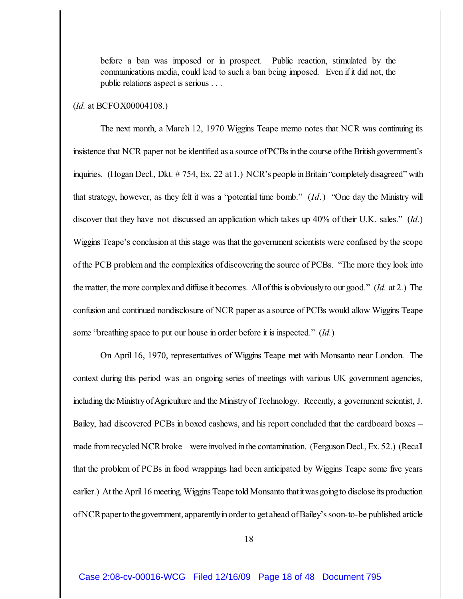before a ban was imposed or in prospect. Public reaction, stimulated by the communications media, could lead to such a ban being imposed. Even if it did not, the public relations aspect is serious . . .

## (*Id.* at BCFOX00004108.)

The next month, a March 12, 1970 Wiggins Teape memo notes that NCR was continuing its insistence that NCR paper not be identified as a source of PCBs in the course of the British government's inquiries. (Hogan Decl., Dkt. # 754, Ex. 22 at 1.) NCR's people inBritain"completelydisagreed" with that strategy, however, as they felt it was a "potential time bomb." (*Id.*) "One day the Ministry will discover that they have not discussed an application which takes up 40% of their U.K. sales." (*Id.*) Wiggins Teape's conclusion at this stage wasthat the government scientists were confused by the scope of the PCB problem and the complexities ofdiscovering the source of PCBs. "The more they look into the matter, the more complex and diffuse it becomes. All of this is obviously to our good." (*Id.* at 2.) The confusion and continued nondisclosure of NCR paper as a source of PCBs would allow Wiggins Teape some "breathing space to put our house in order before it is inspected." (*Id.*)

On April 16, 1970, representatives of Wiggins Teape met with Monsanto near London. The context during this period was an ongoing series of meetings with various UK government agencies, including the MinistryofAgriculture and the Ministryof Technology. Recently, a government scientist, J. Bailey, had discovered PCBs in boxed cashews, and his report concluded that the cardboard boxes – made from recycled NCR broke – were involved in the contamination. (Ferguson Decl., Ex. 52.) (Recall that the problem of PCBs in food wrappings had been anticipated by Wiggins Teape some five years earlier.) At the April 16 meeting, Wiggins Teape told Monsanto that it was going to disclose its production of NCRpaperto the government, apparentlyin order to get ahead of Bailey's soon-to-be published article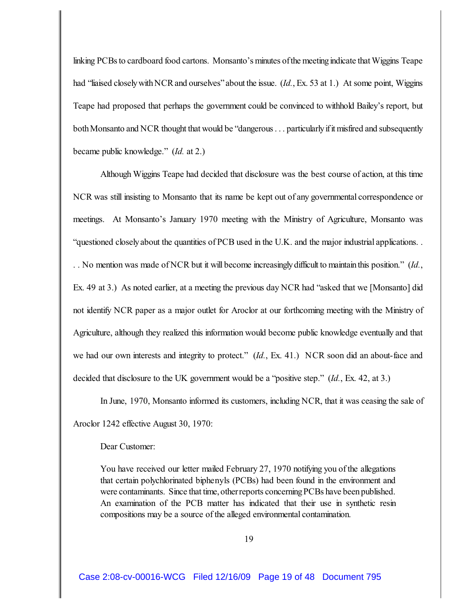linking PCBs to cardboard food cartons. Monsanto's minutes of the meeting indicate that Wiggins Teape had "liaised closely with NCR and ourselves" about the issue. (*Id.*, Ex. 53 at 1.) At some point, Wiggins Teape had proposed that perhaps the government could be convinced to withhold Bailey's report, but both Monsanto and NCR thought that would be "dangerous . . . particularly if it misfired and subsequently became public knowledge." (*Id.* at 2.)

Although Wiggins Teape had decided that disclosure was the best course of action, at this time NCR was still insisting to Monsanto that its name be kept out of any governmental correspondence or meetings. At Monsanto's January 1970 meeting with the Ministry of Agriculture, Monsanto was "questioned closelyabout the quantities of PCB used in the U.K. and the major industrial applications. . . . No mention was made of NCR but it will become increasinglydifficult to maintainthis position." (*Id.*, Ex. 49 at 3.) As noted earlier, at a meeting the previous day NCR had "asked that we [Monsanto] did not identify NCR paper as a major outlet for Aroclor at our forthcoming meeting with the Ministry of Agriculture, although they realized this information would become public knowledge eventually and that we had our own interests and integrity to protect." (*Id.*, Ex. 41.) NCR soon did an about-face and decided that disclosure to the UK government would be a "positive step." (*Id.*, Ex. 42, at 3.)

In June, 1970, Monsanto informed its customers, including NCR, that it was ceasing the sale of Aroclor 1242 effective August 30, 1970:

Dear Customer:

You have received our letter mailed February 27, 1970 notifying you of the allegations that certain polychlorinated biphenyls (PCBs) had been found in the environment and were contaminants. Since that time, otherreports concerning PCBs have been published. An examination of the PCB matter has indicated that their use in synthetic resin compositions may be a source of the alleged environmental contamination.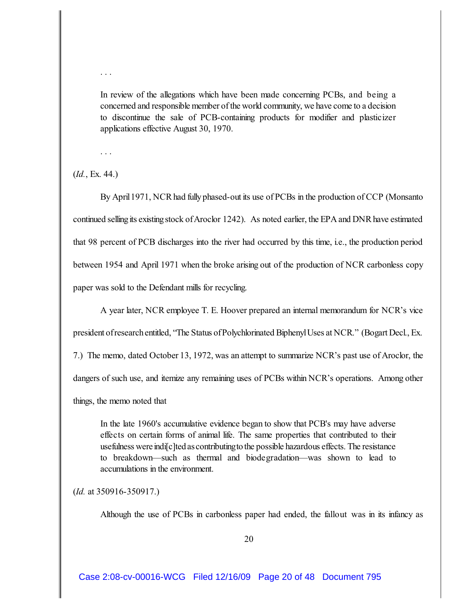In review of the allegations which have been made concerning PCBs, and being a concerned and responsible member of the world community, we have come to a decision to discontinue the sale of PCB-containing products for modifier and plasticizer applications effective August 30, 1970.

. . .

. . .

(*Id.*, Ex. 44.)

By April 1971, NCR had fully phased-out its use of PCBs in the production of CCP (Monsanto continued selling its existing stock of Aroclor 1242). As noted earlier, the EPA and DNR have estimated that 98 percent of PCB discharges into the river had occurred by this time, i.e., the production period between 1954 and April 1971 when the broke arising out of the production of NCR carbonless copy paper was sold to the Defendant mills for recycling.

A year later, NCR employee T. E. Hoover prepared an internal memorandum for NCR's vice

president of research entitled, "The Status of Polychlorinated Biphenyl Uses at NCR." (Bogart Decl., Ex.

7.) The memo, dated October 13, 1972, was an attempt to summarize NCR's past use of Aroclor, the

dangers of such use, and itemize any remaining uses of PCBs within NCR's operations. Among other

things, the memo noted that

In the late 1960's accumulative evidence began to show that PCB's may have adverse effects on certain forms of animal life. The same properties that contributed to their usefulness were indi[c]ted ascontributingto the possible hazardous effects. The resistance to breakdown—such as thermal and biodegradation—was shown to lead to accumulations in the environment.

(*Id.* at 350916-350917.)

Although the use of PCBs in carbonless paper had ended, the fallout was in its infancy as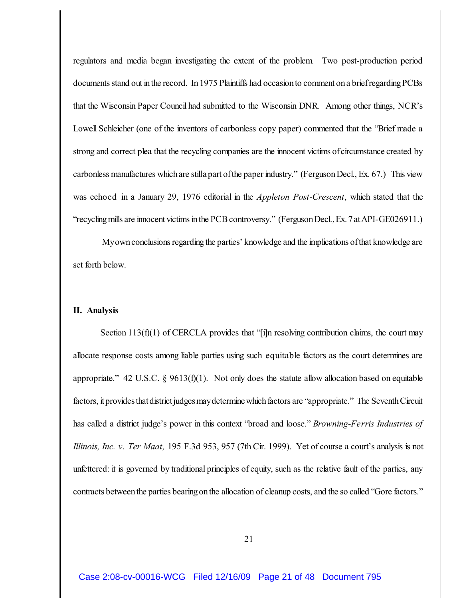regulators and media began investigating the extent of the problem. Two post-production period documents stand out in the record. In 1975 Plaintiffs had occasion to comment on a brief regarding PCBs that the Wisconsin Paper Council had submitted to the Wisconsin DNR. Among other things, NCR's Lowell Schleicher (one of the inventors of carbonless copy paper) commented that the "Brief made a strong and correct plea that the recycling companies are the innocent victims of circumstance created by carbonless manufactures which are stilla part of the paper industry." (Ferguson Decl., Ex. 67.) This view was echoed in a January 29, 1976 editorial in the *Appleton Post-Crescent*, which stated that the "recycling mills are innocent victims in the PCB controversy." (Ferguson Decl., Ex. 7 atAPI-GE026911.)

 Myown conclusions regarding the parties' knowledge and the implications of that knowledge are set forth below.

## **II. Analysis**

Section 113(f)(1) of CERCLA provides that "[i]n resolving contribution claims, the court may allocate response costs among liable parties using such equitable factors as the court determines are appropriate." 42 U.S.C. § 9613(f)(1). Not only does the statute allow allocation based on equitable factors, itprovides thatdistrictjudgesmaydetermine which factors are "appropriate." The Seventh Circuit has called a district judge's power in this context "broad and loose." *Browning-Ferris Industries of Illinois, Inc. v. Ter Maat,* 195 F.3d 953, 957 (7th Cir. 1999). Yet of course a court's analysis is not unfettered: it is governed by traditional principles of equity, such as the relative fault of the parties, any contracts between the parties bearing on the allocation of cleanup costs, and the so called "Gore factors."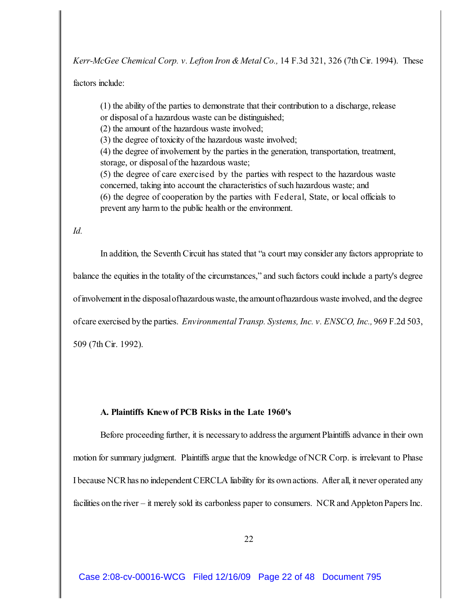*Kerr-McGee Chemical Corp. v. Lefton Iron & Metal Co.,* 14 F.3d 321, 326 (7th Cir. 1994). These

factors include:

(1) the ability of the parties to demonstrate that their contribution to a discharge, release or disposal of a hazardous waste can be distinguished;

(2) the amount of the hazardous waste involved;

(3) the degree of toxicity of the hazardous waste involved;

(4) the degree of involvement by the parties in the generation, transportation, treatment, storage, or disposal of the hazardous waste;

(5) the degree of care exercised by the parties with respect to the hazardous waste concerned, taking into account the characteristics of such hazardous waste; and (6) the degree of cooperation by the parties with Federal, State, or local officials to prevent any harm to the public health or the environment.

*Id.*

In addition, the Seventh Circuit has stated that "a court may consider any factors appropriate to balance the equities in the totality of the circumstances," and such factors could include a party's degree of involvement in the disposal ofhazardouswaste, the amountofhazardous waste involved, and the degree of care exercised by the parties. *Environmental Transp. Systems, Inc. v. ENSCO, Inc.,* 969 F.2d 503, 509 (7th Cir. 1992).

## **A. Plaintiffs Knew of PCB Risks in the Late 1960's**

Before proceeding further, it is necessary to address the argument Plaintiffs advance in their own motion for summary judgment. Plaintiffs argue that the knowledge of NCR Corp. is irrelevant to Phase I because NCR has no independent CERCLA liability for its own actions. After all, it never operated any facilities on the river – it merely sold its carbonless paper to consumers. NCR and Appleton Papers Inc.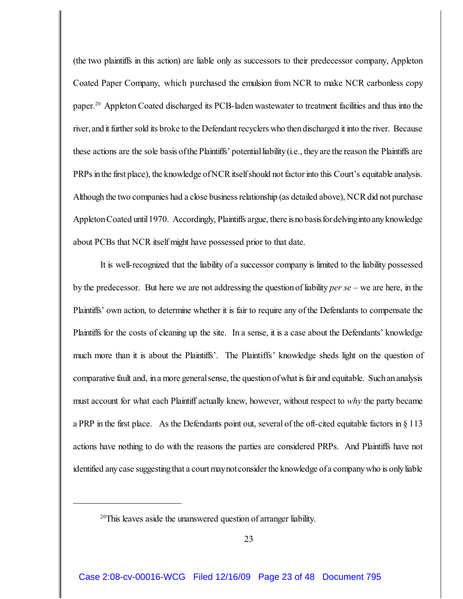(the two plaintiffs in this action) are liable only as successors to their predecessor company, Appleton Coated Paper Company, which purchased the emulsion from NCR to make NCR carbonless copy paper.<sup>20</sup> Appleton Coated discharged its PCB-laden wastewater to treatment facilities and thus into the river, and it further sold its broke to the Defendant recyclers who then discharged it into the river. Because these actions are the sole basis of the Plaintiffs' potential liability (i.e., they are the reason the Plaintiffs are PRPs in the first place), the knowledge of NCR itself should not factor into this Court's equitable analysis. Although the two companies had a close business relationship (as detailed above), NCR did not purchase Appleton Coated until 1970. Accordingly, Plaintiffs argue, there isno basisfordelvinginto any knowledge about PCBs that NCR itself might have possessed prior to that date.

It is well-recognized that the liability of a successor company is limited to the liability possessed by the predecessor. But here we are not addressing the questionof liability *per se* – we are here, in the Plaintiffs' own action, to determine whether it is fair to require any of the Defendants to compensate the Plaintiffs for the costs of cleaning up the site. In a sense, it is a case about the Defendants' knowledge much more than it is about the Plaintiffs'. The Plaintiffs' knowledge sheds light on the question of comparative fault and, in a more general sense, the question of what is fair and equitable. Such an analysis must account for what each Plaintiff actually knew, however, without respect to *why* the party became a PRP in the first place. As the Defendants point out, several of the oft-cited equitable factors in § 113 actions have nothing to do with the reasons the parties are considered PRPs. And Plaintiffs have not identified any case suggesting that a court maynotconsider the knowledge of a company who is only liable

 $20$ <sup>20</sup>This leaves aside the unanswered question of arranger liability.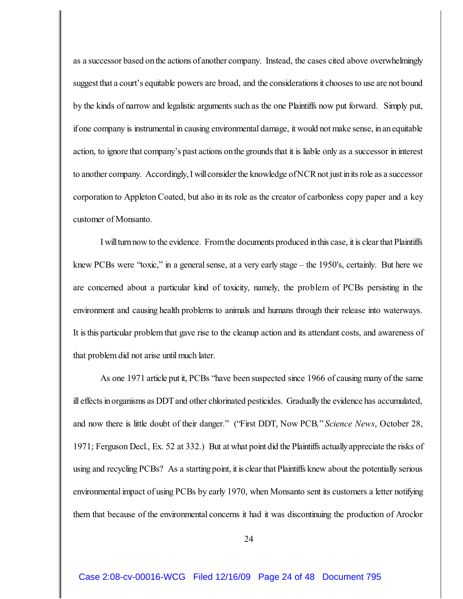as a successor based on the actions of another company. Instead, the cases cited above overwhelmingly suggest that a court's equitable powers are broad, and the considerations it chooses to use are not bound by the kinds of narrow and legalistic arguments such as the one Plaintiffs now put forward. Simply put, ifone company is instrumental in causing environmental damage, it would not make sense, inanequitable action, to ignore that company's past actions onthe grounds that it is liable only as a successor in interest to another company. Accordingly, I will consider the knowledge of NCR not just in its role as a successor corporation to Appleton Coated, but also in its role as the creator of carbonless copy paper and a key customer of Monsanto.

I will turn now to the evidence. From the documents produced in this case, it is clear that Plaintiffs knew PCBs were "toxic," in a general sense, at a very early stage – the 1950's, certainly. But here we are concerned about a particular kind of toxicity, namely, the problem of PCBs persisting in the environment and causing health problems to animals and humans through their release into waterways. It isthis particular problem that gave rise to the cleanup action and its attendant costs, and awareness of that problem did not arise until much later.

As one 1971 article put it, PCBs "have been suspected since 1966 of causing many of the same ill effects in organisms as DDT and other chlorinated pesticides. Gradually the evidence has accumulated, and now there is little doubt of their danger." ("First DDT, Now PCB*,*" *Science News*, October 28, 1971; Ferguson Decl., Ex. 52 at 332.) But at what point did the Plaintiffs actuallyappreciate the risks of using and recycling PCBs? As a starting point, it is clear that Plaintiffs knew about the potentially serious environmental impact of using PCBs by early 1970, when Monsanto sent its customers a letter notifying them that because of the environmental concerns it had it was discontinuing the production of Aroclor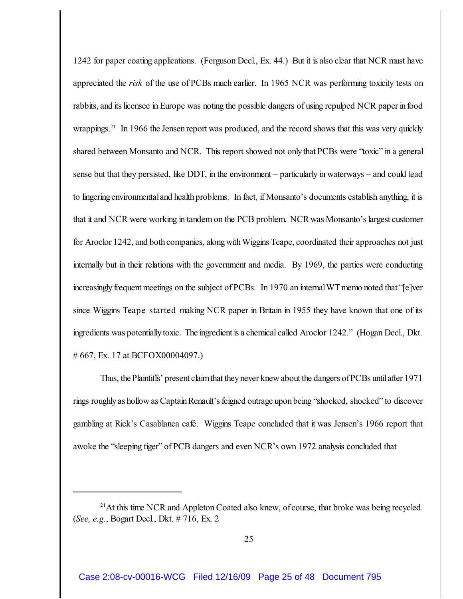1242 for paper coating applications. (Ferguson Decl., Ex. 44.) But it is also clear that NCR must have appreciated the *risk* of the use of PCBs much earlier. In 1965 NCR was performing toxicity tests on rabbits, and its licensee in Europe was noting the possible dangers of using repulped NCR paper in food wrappings.<sup>21</sup> In 1966 the Jensen report was produced, and the record shows that this was very quickly shared between Monsanto and NCR. This report showed not onlythat PCBs were "toxic" in a general sense but that they persisted, like DDT, in the environment – particularly in waterways – and could lead to lingering environmental and health problems. In fact, if Monsanto's documents establish anything, it is that it and NCR were working in tandem on the PCB problem. NCRwas Monsanto'slargest customer for Aroclor 1242, and both companies, along with Wiggins Teape, coordinated their approaches not just internally but in their relations with the government and media. By 1969, the parties were conducting increasingly frequent meetings on the subject of PCBs. In 1970 an internal WT memo noted that "[e]ver since Wiggins Teape started making NCR paper in Britain in 1955 they have known that one of its ingredients was potentially toxic. The ingredient is a chemical called Aroclor 1242." (Hogan Decl., Dkt. # 667, Ex. 17 at BCFOX00004097.)

Thus, the Plaintiffs' present claim that they never knew about the dangers of PCBs until after 1971 rings roughly as hollow as Captain Renault's feigned outrage upon being "shocked, shocked" to discover gambling at Rick's Casablanca café. Wiggins Teape concluded that it was Jensen's 1966 report that awoke the "sleeping tiger" of PCB dangers and even NCR's own 1972 analysis concluded that

 $21$ At this time NCR and Appleton Coated also knew, of course, that broke was being recycled. (*See, e.g.*, Bogart Decl., Dkt. # 716, Ex. 2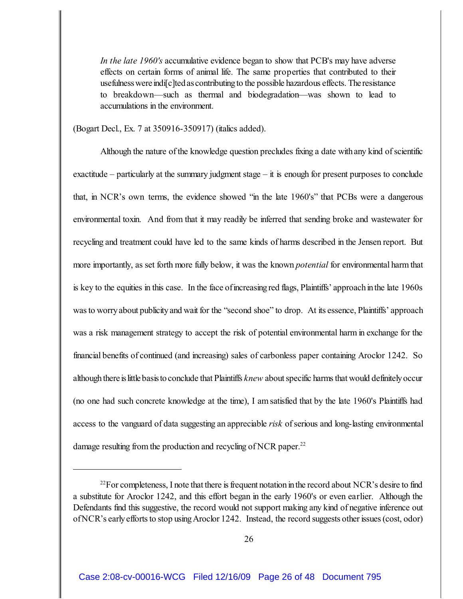*In the late 1960's* accumulative evidence began to show that PCB's may have adverse effects on certain forms of animal life. The same properties that contributed to their usefulnesswere indi[c]ted ascontributing to the possible hazardous effects. The resistance to breakdown—such as thermal and biodegradation—was shown to lead to accumulations in the environment.

(Bogart Decl., Ex. 7 at 350916-350917) (italics added).

Although the nature of the knowledge question precludes fixing a date withany kind of scientific exactitude – particularly at the summary judgment stage – it is enough for present purposes to conclude that, in NCR's own terms, the evidence showed "in the late 1960's" that PCBs were a dangerous environmental toxin. And from that it may readily be inferred that sending broke and wastewater for recycling and treatment could have led to the same kinds of harms described in the Jensen report. But more importantly, as set forth more fully below, it was the known *potential* for environmental harm that is key to the equities in this case. In the face of increasing red flags, Plaintiffs' approach in the late 1960s was to worry about publicity and wait for the "second shoe" to drop. At its essence, Plaintiffs' approach was a risk management strategy to accept the risk of potential environmental harm in exchange for the financial benefits of continued (and increasing) sales of carbonless paper containing Aroclor 1242. So although there is little basis to conclude that Plaintiffs *knew* about specific harms that would definitely occur (no one had such concrete knowledge at the time), I amsatisfied that by the late 1960's Plaintiffs had access to the vanguard of data suggesting an appreciable *risk* of serious and long-lasting environmental damage resulting from the production and recycling of NCR paper.<sup>22</sup>

 $^{22}$ For completeness, I note that there is frequent notation in the record about NCR's desire to find a substitute for Aroclor 1242, and this effort began in the early 1960's or even earlier. Although the Defendants find this suggestive, the record would not support making any kind of negative inference out of NCR's early efforts to stop using Aroclor 1242. Instead, the record suggests other issues (cost, odor)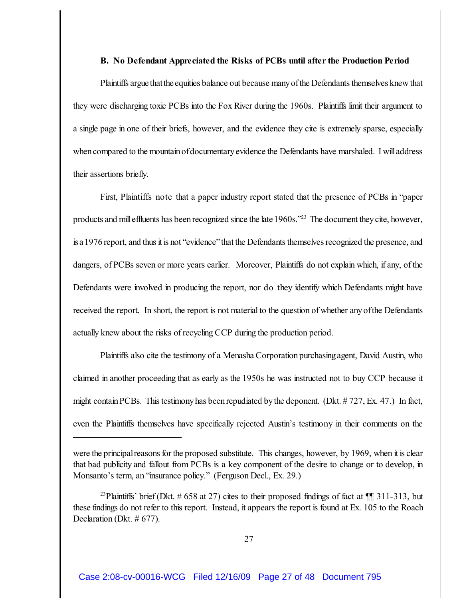#### **B. No Defendant Appreciated the Risks of PCBs until after the Production Period**

Plaintiffs argue that the equities balance out because many of the Defendants themselves knew that they were discharging toxic PCBs into the Fox River during the 1960s. Plaintiffs limit their argument to a single page in one of their briefs, however, and the evidence they cite is extremely sparse, especially when compared to the mountain of documentary evidence the Defendants have marshaled. I will address their assertions briefly.

First, Plaintiffs note that a paper industry report stated that the presence of PCBs in "paper products and mill effluents has been recognized since the late 1960s."<sup>23</sup> The document they cite, however, isa 1976 report, and thus it is not "evidence" that the Defendants themselves recognized the presence, and dangers, of PCBs seven or more years earlier. Moreover, Plaintiffs do not explain which, if any, of the Defendants were involved in producing the report, nor do they identify which Defendants might have received the report. In short, the report is not material to the question of whether anyofthe Defendants actually knew about the risks of recycling CCP during the production period.

Plaintiffs also cite the testimony of a Menasha Corporation purchasing agent, David Austin, who claimed in another proceeding that as early as the 1950s he was instructed not to buy CCP because it might contain PCBs. This testimony has been repudiated by the deponent. (Dkt. # 727, Ex. 47.) In fact, even the Plaintiffs themselves have specifically rejected Austin's testimony in their comments on the

were the principal reasons for the proposed substitute. This changes, however, by 1969, when it is clear that bad publicity and fallout from PCBs is a key component of the desire to change or to develop, in Monsanto's term, an "insurance policy." (Ferguson Decl., Ex. 29.)

<sup>&</sup>lt;sup>23</sup>Plaintiffs' brief (Dkt. # 658 at 27) cites to their proposed findings of fact at  $\P$  311-313, but these findings do not refer to this report. Instead, it appears the report is found at Ex. 105 to the Roach Declaration (Dkt. # 677).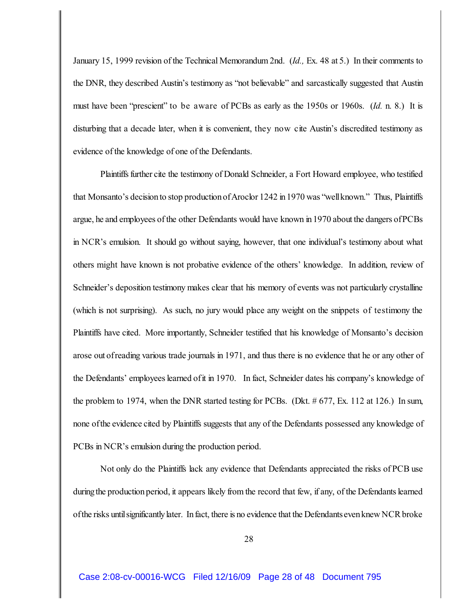January 15, 1999 revision of the Technical Memorandum 2nd. (*Id.,* Ex. 48 at 5.) In their comments to the DNR, they described Austin's testimony as "not believable" and sarcastically suggested that Austin must have been "prescient" to be aware of PCBs as early as the 1950s or 1960s. (*Id.* n. 8.) It is disturbing that a decade later, when it is convenient, they now cite Austin's discredited testimony as evidence of the knowledge of one of the Defendants.

Plaintiffs further cite the testimony of Donald Schneider, a Fort Howard employee, who testified that Monsanto's decision to stop production of Aroclor 1242 in 1970 was "well known." Thus, Plaintiffs argue, he and employees of the other Defendants would have known in 1970 about the dangers of PCBs in NCR's emulsion. It should go without saying, however, that one individual's testimony about what others might have known is not probative evidence of the others' knowledge. In addition, review of Schneider's deposition testimony makes clear that his memory of events was not particularly crystalline (which is not surprising). As such, no jury would place any weight on the snippets of testimony the Plaintiffs have cited. More importantly, Schneider testified that his knowledge of Monsanto's decision arose out ofreading various trade journals in 1971, and thus there is no evidence that he or any other of the Defendants' employees learned of it in 1970. In fact, Schneider dates his company's knowledge of the problem to 1974, when the DNR started testing for PCBs. (Dkt.  $\#$  677, Ex. 112 at 126.) In sum, none ofthe evidence cited by Plaintiffs suggests that any of the Defendants possessed any knowledge of PCBs in NCR's emulsion during the production period.

Not only do the Plaintiffs lack any evidence that Defendants appreciated the risks of PCB use during the production period, it appears likely from the record that few, if any, of the Defendants learned of the risks until significantly later. In fact, there is no evidence that the Defendants even knew NCR broke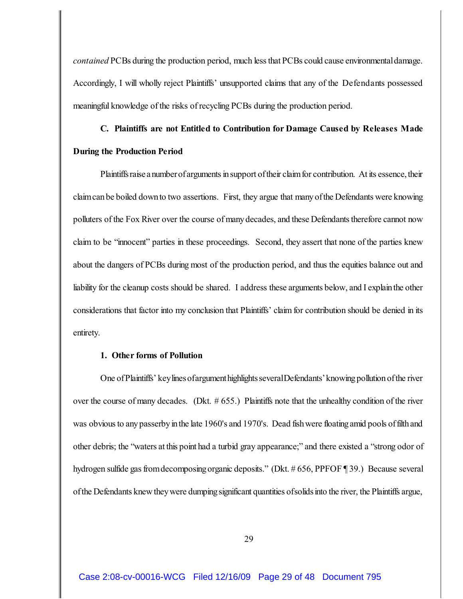*contained* PCBs during the production period, much less that PCBs could cause environmental damage. Accordingly, I will wholly reject Plaintiffs' unsupported claims that any of the Defendants possessed meaningful knowledge of the risks of recycling PCBs during the production period.

# **C. Plaintiffs are not Entitled to Contribution for Damage Caused by Releases Made During the Production Period**

Plaintiffsraise a numberof arguments in support of their claim for contribution. At its essence, their claim can be boiled down to two assertions. First, they argue that many of the Defendants were knowing polluters of the Fox River over the course of manydecades, and these Defendantstherefore cannot now claim to be "innocent" parties in these proceedings. Second, they assert that none of the parties knew about the dangers of PCBs during most of the production period, and thus the equities balance out and liability for the cleanup costs should be shared. I address these arguments below, and I explainthe other considerations that factor into my conclusion that Plaintiffs' claim for contribution should be denied in its entirety.

## **1. Other forms of Pollution**

One of Plaintiffs' key lines of argument highlights several Defendants' knowing pollution of the river over the course of many decades. (Dkt. # 655.) Plaintiffs note that the unhealthy condition of the river was obvious to any passerby in the late 1960's and 1970's. Dead fish were floating amid pools of filth and other debris; the "waters at this point had a turbid gray appearance;" and there existed a "strong odor of hydrogen sulfide gas from decomposing organic deposits." (Dkt. #656, PPFOF ¶ 39.) Because several of the Defendants knew they were dumping significant quantities ofsolids into the river, the Plaintiffs argue,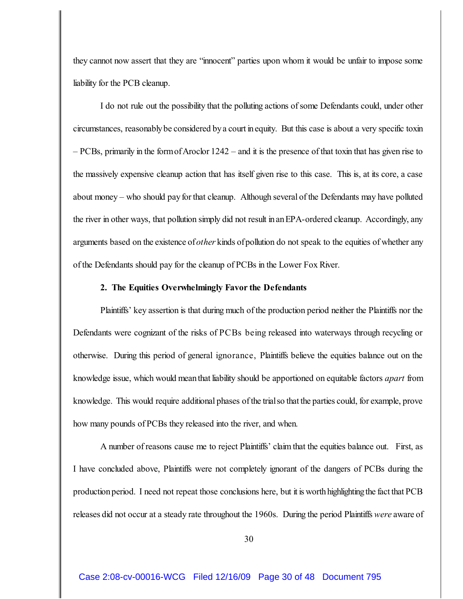they cannot now assert that they are "innocent" parties upon whom it would be unfair to impose some liability for the PCB cleanup.

I do not rule out the possibility that the polluting actions of some Defendants could, under other circumstances, reasonablybe considered bya court inequity. But this case is about a very specific toxin  $-$  PCBs, primarily in the form of Aroclor 1242 – and it is the presence of that toxin that has given rise to the massively expensive cleanup action that has itself given rise to this case. This is, at its core, a case about money – who should payfor that cleanup. Although several of the Defendants may have polluted the river in other ways, that pollution simply did not result inanEPA-ordered cleanup. Accordingly, any arguments based on the existence of*other* kinds ofpollution do not speak to the equities of whether any of the Defendants should pay for the cleanup of PCBs in the Lower Fox River.

#### **2. The Equities Overwhelmingly Favor the Defendants**

Plaintiffs' key assertion is that during much of the production period neither the Plaintiffs nor the Defendants were cognizant of the risks of PCBs being released into waterways through recycling or otherwise. During this period of general ignorance, Plaintiffs believe the equities balance out on the knowledge issue, which would meanthat liability should be apportioned on equitable factors *apart* from knowledge. This would require additional phases ofthe trial so that the parties could, for example, prove how many pounds of PCBs they released into the river, and when.

A number of reasons cause me to reject Plaintiffs' claim that the equities balance out. First, as I have concluded above, Plaintiffs were not completely ignorant of the dangers of PCBs during the production period. I need not repeat those conclusions here, but it is worth highlighting the fact that PCB releases did not occur at a steady rate throughout the 1960s. During the period Plaintiffs *were* aware of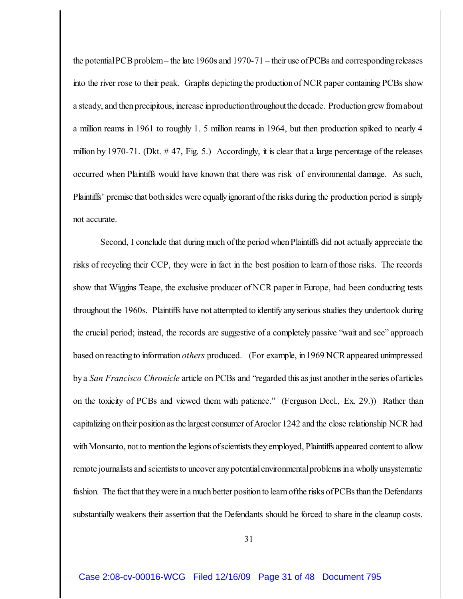the potential PCB problem – the late 1960s and 1970-71 – their use of PCBs and corresponding releases into the river rose to their peak. Graphs depicting the production of NCR paper containing PCBs show a steady, and then precipitous, increase inproductionthroughoutthedecade. Production grew from about a million reams in 1961 to roughly 1. 5 million reams in 1964, but then production spiked to nearly 4 million by 1970-71. (Dkt. # 47, Fig. 5.) Accordingly, it is clear that a large percentage of the releases occurred when Plaintiffs would have known that there was risk of environmental damage. As such, Plaintiffs' premise that both sides were equally ignorant of the risks during the production period is simply not accurate.

Second, I conclude that during much of the period when Plaintiffs did not actually appreciate the risks of recycling their CCP, they were in fact in the best position to learn of those risks. The records show that Wiggins Teape, the exclusive producer of NCR paper in Europe, had been conducting tests throughout the 1960s. Plaintiffs have not attempted to identifyanyserious studies they undertook during the crucial period; instead, the records are suggestive of a completely passive "wait and see" approach based on reacting to information *others* produced. (For example, in1969 NCRappeared unimpressed by a *San Francisco Chronicle* article on PCBs and "regarded this as just another in the series of articles on the toxicity of PCBs and viewed them with patience." (Ferguson Decl., Ex. 29.)) Rather than capitalizing on their position as the largest consumer of Aroclor 1242 and the close relationship NCR had with Monsanto, not to mention the legions of scientists they employed, Plaintiffs appeared content to allow remote journalists and scientists to uncover any potential environmental problems in a wholly unsystematic fashion. The fact that they were in a much better position to learn ofthe risks of PCBs than the Defendants substantially weakens their assertion that the Defendants should be forced to share in the cleanup costs.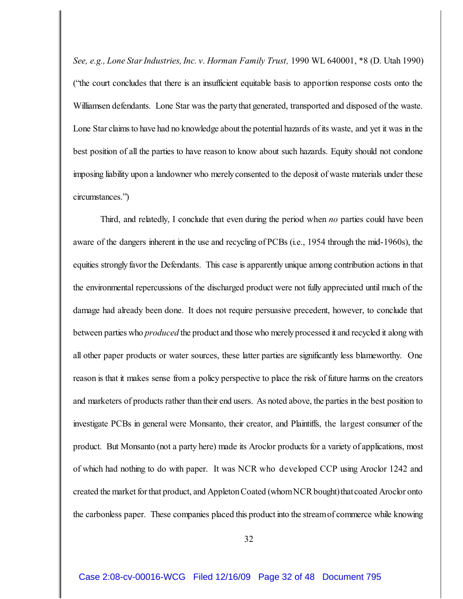*See, e.g., Lone Star Industries, Inc. v. Horman Family Trust,* 1990 WL 640001, \*8 (D. Utah 1990) ("the court concludes that there is an insufficient equitable basis to apportion response costs onto the Williamsen defendants. Lone Star was the party that generated, transported and disposed of the waste. Lone Star claims to have had no knowledge about the potential hazards of its waste, and yet it was in the best position of all the parties to have reason to know about such hazards. Equity should not condone imposing liability upon a landowner who merelyconsented to the deposit of waste materials under these circumstances.")

Third, and relatedly, I conclude that even during the period when *no* parties could have been aware of the dangers inherent in the use and recycling of PCBs (i.e., 1954 through the mid-1960s), the equities strongly favor the Defendants. This case is apparently unique among contribution actions in that the environmental repercussions of the discharged product were not fully appreciated until much of the damage had already been done. It does not require persuasive precedent, however, to conclude that between parties who *produced* the product and those who merely processed it and recycled it along with all other paper products or water sources, these latter parties are significantly less blameworthy. One reason is that it makes sense from a policy perspective to place the risk of future harms on the creators and marketers of products rather thantheir end users. As noted above, the parties in the best position to investigate PCBs in general were Monsanto, their creator, and Plaintiffs, the largest consumer of the product. But Monsanto (not a party here) made its Aroclor products for a variety of applications, most of which had nothing to do with paper. It was NCR who developed CCP using Aroclor 1242 and created the market for that product, and Appleton Coated (whom NCR bought) that coated Aroclor onto the carbonless paper. These companies placed this product into the streamof commerce while knowing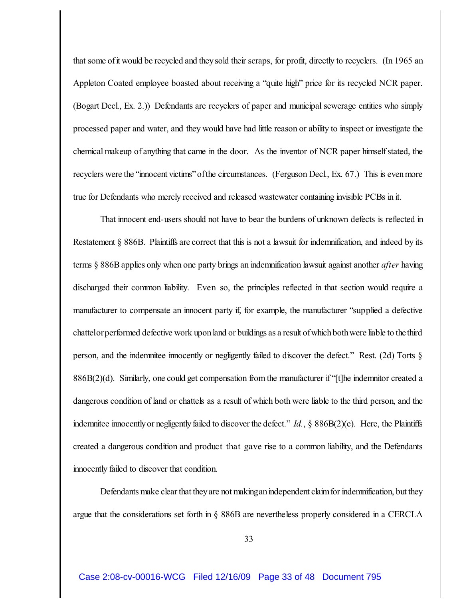that some ofit would be recycled and theysold their scraps, for profit, directly to recyclers. (In 1965 an Appleton Coated employee boasted about receiving a "quite high" price for its recycled NCR paper. (Bogart Decl., Ex. 2.)) Defendants are recyclers of paper and municipal sewerage entities who simply processed paper and water, and they would have had little reason or ability to inspect or investigate the chemical makeup of anything that came in the door. As the inventor of NCR paper himself stated, the recyclers were the "innocent victims"ofthe circumstances. (Ferguson Decl., Ex. 67.) This is evenmore true for Defendants who merely received and released wastewater containing invisible PCBs in it.

That innocent end-users should not have to bear the burdens of unknown defects is reflected in Restatement § 886B. Plaintiffs are correct that this is not a lawsuit for indemnification, and indeed by its terms § 886Bapplies only when one party brings an indemnification lawsuit against another *after* having discharged their common liability. Even so, the principles reflected in that section would require a manufacturer to compensate an innocent party if, for example, the manufacturer "supplied a defective chattelor performed defective work upon land or buildings as a result of which both were liable to the third person, and the indemnitee innocently or negligently failed to discover the defect." Rest. (2d) Torts § 886B(2)(d). Similarly, one could get compensation from the manufacturer if "[t]he indemnitor created a dangerous condition of land or chattels as a result of which both were liable to the third person, and the indemnitee innocently or negligently failed to discover the defect." *Id.*, § 886B(2)(e). Here, the Plaintiffs created a dangerous condition and product that gave rise to a common liability, and the Defendants innocently failed to discover that condition.

Defendants make clear that they are not makingan independent claim for indemnification, but they argue that the considerations set forth in § 886B are nevertheless properly considered in a CERCLA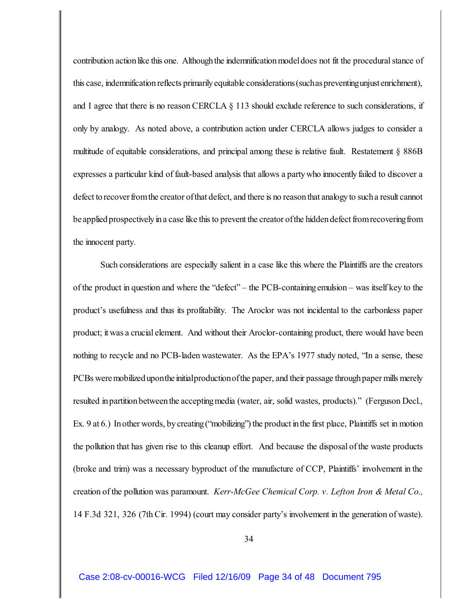contribution action like this one. Although the indemnification model does not fit the proceduralstance of this case, indemnification reflects primarily equitable considerations (suchas preventingunjust enrichment), and I agree that there is no reason CERCLA § 113 should exclude reference to such considerations, if only by analogy. As noted above, a contribution action under CERCLA allows judges to consider a multitude of equitable considerations, and principal among these is relative fault. Restatement § 886B expresses a particular kind of fault-based analysis that allows a partywho innocentlyfailed to discover a defect to recover from the creator of that defect, and there is no reason that analogy to such a result cannot be applied prospectively in a case like this to prevent the creator of the hidden defect from recoveringfrom the innocent party.

Such considerations are especially salient in a case like this where the Plaintiffs are the creators of the product in question and where the "defect" – the PCB-containingemulsion – was itself key to the product's usefulness and thus its profitability. The Aroclor was not incidental to the carbonless paper product; it was a crucial element. And without their Aroclor-containing product, there would have been nothing to recycle and no PCB-laden wastewater. As the EPA's 1977 study noted, "In a sense, these PCBs were mobilized uponthe initialproductionof the paper, and their passage through paper mills merely resulted in partition between the accepting media (water, air, solid wastes, products)." (Ferguson Decl., Ex. 9 at 6.) In other words, by creating ("mobilizing") the product in the first place, Plaintiffs set in motion the pollution that has given rise to this cleanup effort. And because the disposal of the waste products (broke and trim) was a necessary byproduct of the manufacture of CCP, Plaintiffs' involvement in the creation of the pollution was paramount. *Kerr-McGee Chemical Corp. v. Lefton Iron & Metal Co.,* 14 F.3d 321, 326 (7th Cir. 1994) (court may consider party's involvement in the generation of waste).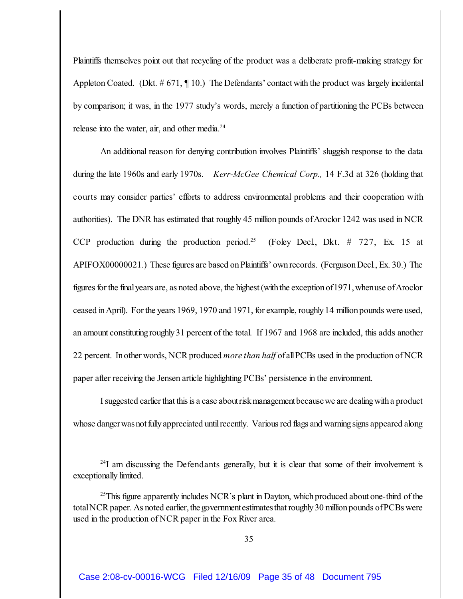Plaintiffs themselves point out that recycling of the product was a deliberate profit-making strategy for Appleton Coated. (Dkt. # 671, ¶ 10.) The Defendants' contact with the product was largely incidental by comparison; it was, in the 1977 study's words, merely a function of partitioning the PCBs between release into the water, air, and other media.<sup>24</sup>

An additional reason for denying contribution involves Plaintiffs' sluggish response to the data during the late 1960s and early 1970s. *Kerr-McGee Chemical Corp.,* 14 F.3d at 326 (holding that courts may consider parties' efforts to address environmental problems and their cooperation with authorities). The DNR has estimated that roughly 45 million pounds ofAroclor 1242 was used in NCR CCP production during the production period.<sup>25</sup> (Foley Decl., Dkt. # 727, Ex. 15 at APIFOX00000021.) These figures are based on Plaintiffs' own records. (Ferguson Decl., Ex. 30.) The figures for the final years are, as noted above, the highest (with the exception of1971, whenuse of Aroclor ceased in April). For the years 1969, 1970 and 1971, for example, roughly 14 million pounds were used, an amount constitutingroughly31 percent of the total. If 1967 and 1968 are included, this adds another 22 percent. In other words, NCR produced *more than half* ofallPCBs used in the production of NCR paper after receiving the Jensen article highlighting PCBs' persistence in the environment.

I suggested earlier that this is a case aboutrisk managementbecause we are dealing with a product whose danger was not fully appreciated until recently. Various red flags and warning signs appeared along

 $24$ I am discussing the Defendants generally, but it is clear that some of their involvement is exceptionally limited.

 $^{25}$ This figure apparently includes NCR's plant in Dayton, which produced about one-third of the total NCR paper. As noted earlier, the government estimates that roughly 30 million pounds of PCBs were used in the production of NCR paper in the Fox River area.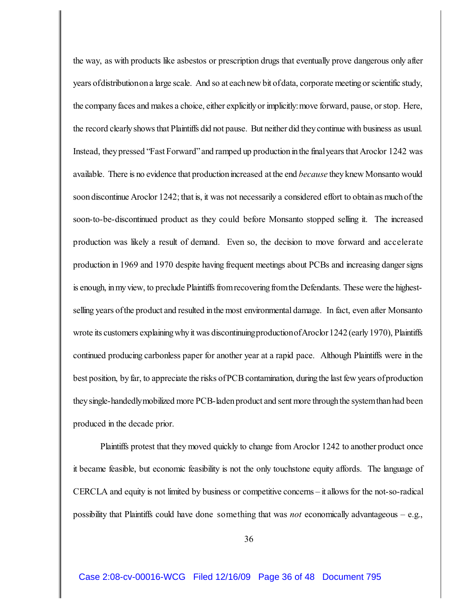the way, as with products like asbestos or prescription drugs that eventually prove dangerous only after years ofdistributionon a large scale. And so at each new bit of data, corporate meeting or scientific study, the company faces and makes a choice, either explicitly or implicitly: move forward, pause, or stop. Here, the record clearly shows that Plaintiffs did not pause. But neither did they continue with business as usual. Instead, they pressed "Fast Forward" and ramped up production in the final years that Aroclor 1242 was available. There is no evidence that production increased at the end *because* they knew Monsanto would soon discontinue Aroclor 1242; that is, it was not necessarily a considered effort to obtain as much of the soon-to-be-discontinued product as they could before Monsanto stopped selling it. The increased production was likely a result of demand. Even so, the decision to move forward and accelerate production in 1969 and 1970 despite having frequent meetings about PCBs and increasing dangersigns is enough, in my view, to preclude Plaintiffs from recovering from the Defendants. These were the highestselling years ofthe product and resulted inthe most environmental damage. In fact, even after Monsanto wrote its customers explaining why it was discontinuing production of Aroclor 1242 (early 1970), Plaintiffs continued producing carbonless paper for another year at a rapid pace. Although Plaintiffs were in the best position, by far, to appreciate the risks of PCB contamination, during the last few years of production they single-handedlymobilized more PCB-laden product and sent more through the system than had been produced in the decade prior.

Plaintiffs protest that they moved quickly to change from Aroclor 1242 to another product once it became feasible, but economic feasibility is not the only touchstone equity affords. The language of CERCLA and equity is not limited by business or competitive concerns – it allowsfor the not-so-radical possibility that Plaintiffs could have done something that was *not* economically advantageous – e.g.,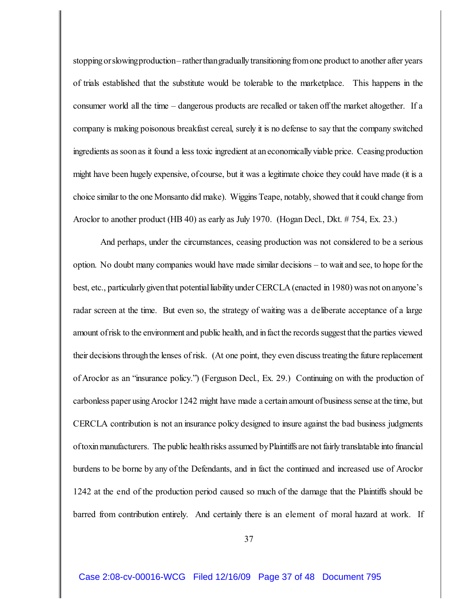stopping or slowingproduction–rather thangradually transitioning from one product to another after years of trials established that the substitute would be tolerable to the marketplace. This happens in the consumer world all the time – dangerous products are recalled or taken off the market altogether. If a company is making poisonous breakfast cereal, surely it is no defense to say that the company switched ingredients as soon as it found a less toxic ingredient at an economically viable price. Ceasing production might have been hugely expensive, ofcourse, but it was a legitimate choice they could have made (it is a choice similar to the one Monsanto did make). Wiggins Teape, notably, showed that it could change from Aroclor to another product (HB 40) as early as July 1970. (Hogan Decl., Dkt. # 754, Ex. 23.)

And perhaps, under the circumstances, ceasing production was not considered to be a serious option. No doubt many companies would have made similar decisions – to wait and see, to hope for the best, etc., particularly given that potential liability under CERCLA (enacted in 1980) was not on anyone's radar screen at the time. But even so, the strategy of waiting was a deliberate acceptance of a large amount of risk to the environment and public health, and in fact the records suggest that the parties viewed their decisionsthroughthe lenses of risk. (At one point, they even discusstreatingthe future replacement of Aroclor as an "insurance policy.") (Ferguson Decl., Ex. 29.) Continuing on with the production of carbonless paper using Aroclor 1242 might have made a certain amount of business sense at the time, but CERCLA contribution is not an insurance policy designed to insure against the bad business judgments of toxin manufacturers. The public health risks assumed byPlaintiffsare not fairly translatable into financial burdens to be borne by any of the Defendants, and in fact the continued and increased use of Aroclor 1242 at the end of the production period caused so much of the damage that the Plaintiffs should be barred from contribution entirely. And certainly there is an element of moral hazard at work. If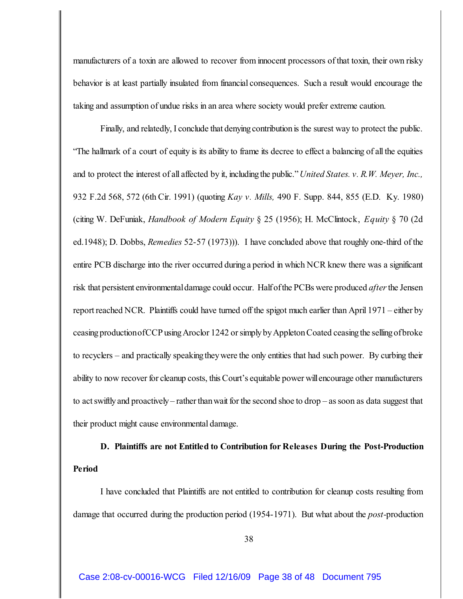manufacturers of a toxin are allowed to recover from innocent processors of that toxin, their own risky behavior is at least partially insulated from financial consequences. Such a result would encourage the taking and assumption of undue risks in an area where society would prefer extreme caution.

Finally, and relatedly, I conclude that denying contribution is the surest way to protect the public. "The hallmark of a court of equity is its ability to frame its decree to effect a balancing of all the equities and to protect the interest of all affected by it, includingthe public." *United States. v. R.W. Meyer, Inc.,* 932 F.2d 568, 572 (6th Cir. 1991) (quoting *Kay v. Mills,* 490 F. Supp. 844, 855 (E.D. Ky. 1980) (citing W. DeFuniak, *Handbook of Modern Equity* § 25 (1956); H. McClintock, *Equity* § 70 (2d ed.1948); D. Dobbs, *Remedies* 52-57 (1973))). I have concluded above that roughly one-third of the entire PCB discharge into the river occurred duringa period in which NCR knew there was a significant risk that persistent environmental damage could occur. Half of the PCBs were produced *after* the Jensen report reached NCR. Plaintiffs could have turned off the spigot much earlier than April 1971 – either by ceasing productionofCCP using Aroclor 1242 or simply by Appleton Coated ceasing the selling of broke to recyclers – and practically speakingtheywere the only entities that had such power. By curbing their ability to now recover for cleanup costs, this Court's equitable power will encourage other manufacturers to act swiftly and proactively – rather than wait for the second shoe to drop – as soon as data suggest that their product might cause environmental damage.

**D. Plaintiffs are not Entitled to Contribution for Releases During the Post-Production Period**

I have concluded that Plaintiffs are not entitled to contribution for cleanup costs resulting from damage that occurred during the production period (1954-1971). But what about the *post-*production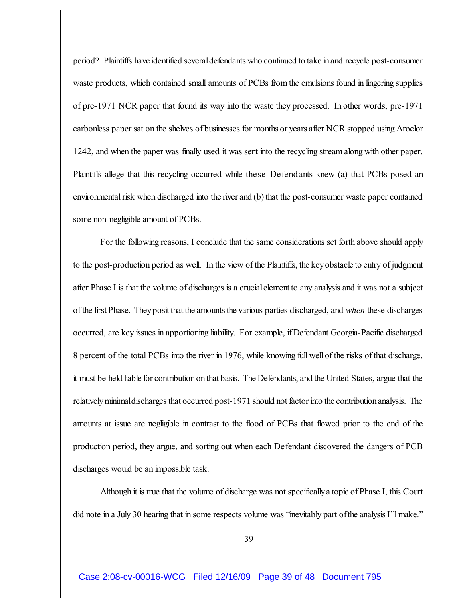period? Plaintiffs have identified several defendants who continued to take in and recycle post-consumer waste products, which contained small amounts of PCBs from the emulsions found in lingering supplies of pre-1971 NCR paper that found its way into the waste they processed. In other words, pre-1971 carbonless paper sat on the shelves of businesses for months or years after NCR stopped using Aroclor 1242, and when the paper was finally used it was sent into the recycling stream along with other paper. Plaintiffs allege that this recycling occurred while these Defendants knew (a) that PCBs posed an environmental risk when discharged into the river and (b) that the post-consumer waste paper contained some non-negligible amount of PCBs.

For the following reasons, I conclude that the same considerations set forth above should apply to the post-production period as well. In the view of the Plaintiffs, the keyobstacle to entry of judgment after Phase I is that the volume of discharges is a crucialelement to any analysis and it was not a subject of the first Phase. They posit that the amounts the various parties discharged, and *when* these discharges occurred, are key issues in apportioning liability. For example, if Defendant Georgia-Pacific discharged 8 percent of the total PCBs into the river in 1976, while knowing full well of the risks of that discharge, it must be held liable for contribution on that basis. The Defendants, and the United States, argue that the relatively minimaldischarges that occurred post-1971 should not factor into the contribution analysis. The amounts at issue are negligible in contrast to the flood of PCBs that flowed prior to the end of the production period, they argue, and sorting out when each Defendant discovered the dangers of PCB discharges would be an impossible task.

Although it is true that the volume of discharge was not specificallya topic of Phase I, this Court did note in a July 30 hearing that in some respects volume was "inevitably part of the analysis I'll make."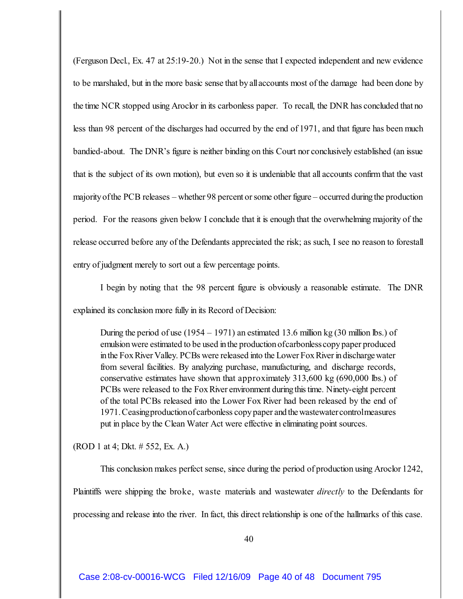(Ferguson Decl., Ex. 47 at 25:19-20.) Not in the sense that I expected independent and new evidence to be marshaled, but in the more basic sense that byallaccounts most of the damage had been done by the time NCR stopped using Aroclor in its carbonless paper. To recall, the DNR has concluded that no less than 98 percent of the discharges had occurred by the end of 1971, and that figure has been much bandied-about. The DNR's figure is neither binding on this Court nor conclusively established (an issue that is the subject of its own motion), but even so it is undeniable that all accounts confirm that the vast majority of the PCB releases – whether 98 percent or some other figure – occurred during the production period. For the reasons given below I conclude that it is enough that the overwhelming majority of the release occurred before any of the Defendants appreciated the risk; as such, I see no reason to forestall entry of judgment merely to sort out a few percentage points.

I begin by noting that the 98 percent figure is obviously a reasonable estimate. The DNR explained its conclusion more fully in its Record of Decision:

During the period of use  $(1954 - 1971)$  an estimated 13.6 million kg  $(30 \text{ million lbs.})$  of emulsion were estimated to be used in the production ofcarbonlesscopy paper produced in the Fox River Valley. PCBs were released into the Lower Fox River in discharge water from several facilities. By analyzing purchase, manufacturing, and discharge records, conservative estimates have shown that approximately 313,600 kg (690,000 lbs.) of PCBs were released to the FoxRiver environment duringthistime. Ninety-eight percent of the total PCBs released into the Lower Fox River had been released by the end of 1971. Ceasing production ofcarbonless copy paper and the wastewater control measures put in place by the Clean Water Act were effective in eliminating point sources.

(ROD 1 at 4; Dkt. # 552, Ex. A.)

This conclusion makes perfect sense, since during the period of production using Aroclor 1242, Plaintiffs were shipping the broke, waste materials and wastewater *directly* to the Defendants for processing and release into the river. In fact, this direct relationship is one of the hallmarks of this case.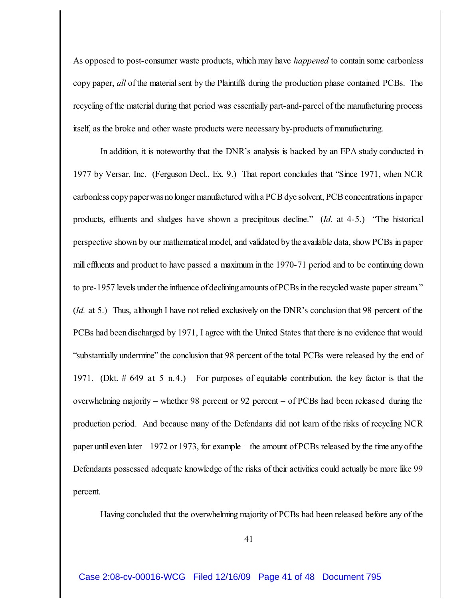As opposed to post-consumer waste products, which may have *happened* to contain some carbonless copy paper, *all* of the material sent by the Plaintiffs during the production phase contained PCBs. The recycling of the material during that period was essentially part-and-parcel of the manufacturing process itself, as the broke and other waste products were necessary by-products of manufacturing.

In addition, it is noteworthy that the DNR's analysis is backed by an EPA study conducted in 1977 by Versar, Inc. (Ferguson Decl., Ex. 9.) That report concludes that "Since 1971, when NCR carbonless copypaperwasno longer manufactured with a PCB dye solvent, PCB concentrations in paper products, effluents and sludges have shown a precipitous decline." (*Id.* at 4-5.) "The historical perspective shown by our mathematical model, and validated by the available data, show PCBs in paper mill effluents and product to have passed a maximum in the 1970-71 period and to be continuing down to pre-1957 levels under the influence of declining amounts of PCBs in the recycled waste paper stream." (*Id.* at 5.) Thus, although I have not relied exclusively on the DNR's conclusion that 98 percent of the PCBs had been discharged by 1971, I agree with the United States that there is no evidence that would "substantially undermine" the conclusion that 98 percent of the total PCBs were released by the end of 1971. (Dkt. # 649 at 5 n.4.) For purposes of equitable contribution, the key factor is that the overwhelming majority – whether 98 percent or 92 percent – of PCBs had been released during the production period. And because many of the Defendants did not learn of the risks of recycling NCR paper until even later – 1972 or 1973, for example – the amount of PCBs released by the time any of the Defendants possessed adequate knowledge of the risks of their activities could actually be more like 99 percent.

Having concluded that the overwhelming majority of PCBs had been released before any of the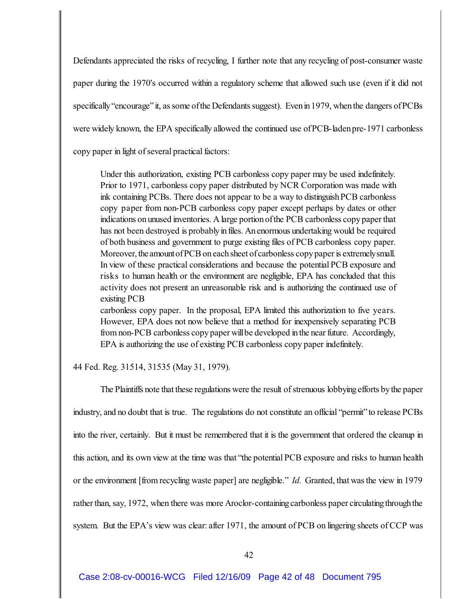Defendants appreciated the risks of recycling, I further note that any recycling of post-consumer waste paper during the 1970's occurred within a regulatory scheme that allowed such use (even if it did not specifically "encourage" it, as some of the Defendants suggest). Even in 1979, when the dangers of PCBs were widely known, the EPA specifically allowed the continued use ofPCB-ladenpre-1971 carbonless copy paper in light of several practical factors:

Under this authorization, existing PCB carbonless copy paper may be used indefinitely. Prior to 1971, carbonless copy paper distributed by NCR Corporation was made with ink containing PCBs. There does not appear to be a way to distinguish PCB carbonless copy paper from non-PCB carbonless copy paper except perhaps by dates or other indications on unused inventories. A large portion of the PCB carbonless copy paper that has not been destroyed is probably in files. An enormous undertaking would be required of both business and government to purge existing files of PCB carbonless copy paper. Moreover, the amountof PCB on each sheet of carbonless copy paper is extremelysmall. In view of these practical considerations and because the potential PCB exposure and risks to human health or the environment are negligible, EPA has concluded that this activity does not present an unreasonable risk and is authorizing the continued use of existing PCB

carbonless copy paper. In the proposal, EPA limited this authorization to five years. However, EPA does not now believe that a method for inexpensively separating PCB from non-PCB carbonless copy paper will be developed in the near future. Accordingly, EPA is authorizing the use of existing PCB carbonless copy paper indefinitely.

44 Fed. Reg. 31514, 31535 (May 31, 1979).

The Plaintiffs note that these regulations were the result of strenuous lobbying efforts by the paper industry, and no doubt that is true. The regulations do not constitute an official "permit" to release PCBs into the river, certainly. But it must be remembered that it is the government that ordered the cleanup in this action, and its own view at the time was that "the potential PCB exposure and risks to human health or the environment [from recycling waste paper] are negligible." *Id.* Granted, that was the view in 1979 rather than, say, 1972, when there was more Aroclor-containing carbonless paper circulating through the system. But the EPA's view was clear: after 1971, the amount of PCB on lingering sheets of CCP was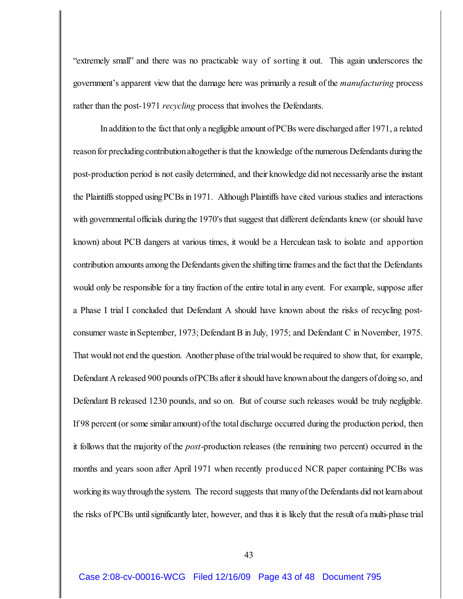"extremely small" and there was no practicable way of sorting it out. This again underscores the government's apparent view that the damage here was primarily a result of the *manufacturing* process rather than the post-1971 *recycling* process that involves the Defendants.

In addition to the fact that only a negligible amount of PCBs were discharged after 1971, a related reason for precluding contribution altogether is that the knowledge of the numerous Defendants during the post-production period is not easily determined, and their knowledge did not necessarilyarise the instant the Plaintiffs stopped using PCBs in 1971. Although Plaintiffs have cited various studies and interactions with governmental officials during the 1970's that suggest that different defendants knew (or should have known) about PCB dangers at various times, it would be a Herculean task to isolate and apportion contribution amounts among the Defendants given the shifting time frames and the fact that the Defendants would only be responsible for a tiny fraction of the entire total in any event. For example, suppose after a Phase I trial I concluded that Defendant A should have known about the risks of recycling postconsumer waste in September, 1973; Defendant B in July, 1975; and Defendant C in November, 1975. That would not end the question. Another phase of the trial would be required to show that, for example, Defendant A released 900 pounds of PCBs after it should have known about the dangers of doing so, and Defendant B released 1230 pounds, and so on. But of course such releases would be truly negligible. If 98 percent (or some similar amount) of the total discharge occurred during the production period, then it follows that the majority of the *post-*production releases (the remaining two percent) occurred in the months and years soon after April 1971 when recently produced NCR paper containing PCBs was working its way through the system. The record suggests that many of the Defendants did not learn about the risks of PCBs until significantly later, however, and thus it is likely that the result ofa multi-phase trial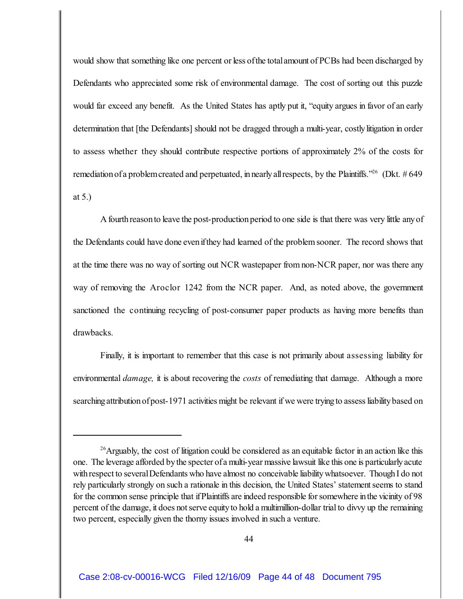would show that something like one percent or less of the total amount of PCBs had been discharged by Defendants who appreciated some risk of environmental damage. The cost of sorting out this puzzle would far exceed any benefit. As the United States has aptly put it, "equity argues in favor of an early determination that [the Defendants] should not be dragged through a multi-year, costlylitigation in order to assess whether they should contribute respective portions of approximately 2% of the costs for remediation of a problem created and perpetuated, in nearly all respects, by the Plaintiffs."<sup>26</sup> (Dkt. # 649) at 5.)

A fourth reason to leave the post-production period to one side is that there was very little any of the Defendants could have done evenifthey had learned of the problem sooner. The record shows that at the time there was no way of sorting out NCR wastepaper from non-NCR paper, nor was there any way of removing the Aroclor 1242 from the NCR paper. And, as noted above, the government sanctioned the continuing recycling of post-consumer paper products as having more benefits than drawbacks.

Finally, it is important to remember that this case is not primarily about assessing liability for environmental *damage,* it is about recovering the *costs* of remediating that damage. Although a more searching attribution of post-1971 activities might be relevant if we were trying to assess liability based on

<sup>&</sup>lt;sup>26</sup> Arguably, the cost of litigation could be considered as an equitable factor in an action like this one. The leverage afforded by the specter of a multi-year massive lawsuit like this one is particularly acute with respect to several Defendants who have almost no conceivable liability whatsoever. Though I do not rely particularly strongly on such a rationale in this decision, the United States' statement seems to stand for the common sense principle that if Plaintiffs are indeed responsible for somewhere in the vicinity of 98 percent of the damage, it does not serve equity to hold a multimillion-dollar trial to divvy up the remaining two percent, especially given the thorny issues involved in such a venture.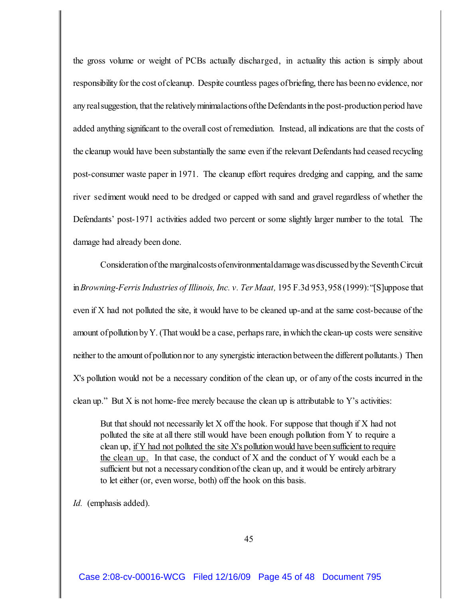the gross volume or weight of PCBs actually discharged, in actuality this action is simply about responsibility for the cost of cleanup. Despite countless pages of briefing, there has been no evidence, nor any real suggestion, that the relatively minimalactionsofthe Defendantsin the post-production period have added anything significant to the overall cost of remediation. Instead, all indications are that the costs of the cleanup would have been substantially the same even if the relevant Defendants had ceased recycling post-consumer waste paper in 1971. The cleanup effort requires dredging and capping, and the same river sediment would need to be dredged or capped with sand and gravel regardless of whether the Defendants' post-1971 activities added two percent or some slightly larger number to the total. The damage had already been done.

Consideration ofthe marginal costs of environmental damage was discussed by the SeventhCircuit in *Browning-Ferris Industries of Illinois, Inc. v. Ter Maat,* 195 F.3d 953, 958 (1999): "[S]uppose that even if X had not polluted the site, it would have to be cleaned up-and at the same cost-because of the amount of pollution by Y. (That would be a case, perhaps rare, in which the clean-up costs were sensitive neither to the amount of pollution nor to any synergistic interaction between the different pollutants.) Then X's pollution would not be a necessary condition of the clean up, or of any of the costs incurred in the clean up." But X is not home-free merely because the clean up is attributable to Y's activities:

But that should not necessarily let X off the hook. For suppose that though if X had not polluted the site at all there still would have been enough pollution from Y to require a clean up, if Y had not polluted the site X's pollutionwould have beensufficient to require the clean up. In that case, the conduct of X and the conduct of Y would each be a sufficient but not a necessaryconditionofthe clean up, and it would be entirely arbitrary to let either (or, even worse, both) off the hook on this basis.

*Id.* (emphasis added).

45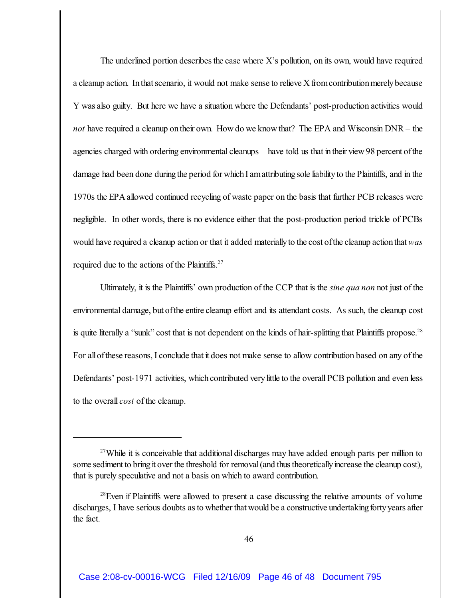The underlined portion describes the case where  $X$ 's pollution, on its own, would have required a cleanup action. In that scenario, it would not make sense to relieve X from contribution merely because Y was also guilty. But here we have a situation where the Defendants' post-production activities would *not* have required a cleanup on their own. How do we know that? The EPA and Wisconsin DNR – the agencies charged with ordering environmental cleanups – have told us that intheir view 98 percent ofthe damage had been done during the period for which I am attributing sole liability to the Plaintiffs, and in the 1970s the EPA allowed continued recycling of waste paper on the basis that further PCB releases were negligible. In other words, there is no evidence either that the post-production period trickle of PCBs would have required a cleanup action or that it added materially to the cost of the cleanup action that *was* required due to the actions of the Plaintiffs.<sup>27</sup>

Ultimately, it is the Plaintiffs' own production of the CCP that is the *sine qua non* not just of the environmental damage, but ofthe entire cleanup effort and its attendant costs. As such, the cleanup cost is quite literally a "sunk" cost that is not dependent on the kinds of hair-splitting that Plaintiffs propose.<sup>28</sup> For allofthese reasons, I conclude that it does not make sense to allow contribution based on any of the Defendants' post-1971 activities, which contributed very little to the overall PCB pollution and even less to the overall *cost* of the cleanup.

 $27$ While it is conceivable that additional discharges may have added enough parts per million to some sediment to bring it over the threshold for removal (and thus theoretically increase the cleanup cost), that is purely speculative and not a basis on which to award contribution.

 $28$  Even if Plaintiffs were allowed to present a case discussing the relative amounts of volume discharges, I have serious doubts as to whether that would be a constructive undertaking forty years after the fact.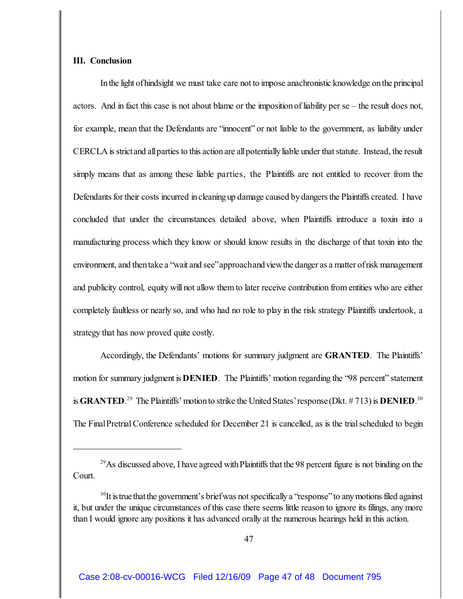## **III. Conclusion**

In the light of hindsight we must take care not to impose anachronistic knowledge on the principal actors. And in fact this case is not about blame or the impositionof liability per se – the result does not, for example, mean that the Defendants are "innocent" or not liable to the government, as liability under CERCLA is strictand all parties to this action are all potentially liable under that statute. Instead, the result simply means that as among these liable parties, the Plaintiffs are not entitled to recover from the Defendants for their costs incurred in cleaning up damage caused by dangers the Plaintiffs created. I have concluded that under the circumstances detailed above, when Plaintiffs introduce a toxin into a manufacturing process which they know or should know results in the discharge of that toxin into the environment, and then take a "wait and see"approachand viewthe danger as a matter of risk management and publicity control, equity will not allow them to later receive contribution from entities who are either completely faultless or nearly so, and who had no role to play in the risk strategy Plaintiffs undertook, a strategy that has now proved quite costly.

Accordingly, the Defendants' motions for summary judgment are **GRANTED**. The Plaintiffs' motion for summary judgment is **DENIED**. The Plaintiffs' motion regarding the '98 percent' statement is **GRANTED**.<sup>29</sup> The Plaintiffs' motion to strike the United States' response (Dkt. #713) is **DENIED**.<sup>30</sup> The FinalPretrial Conference scheduled for December 21 is cancelled, as is the trial scheduled to begin

<sup>&</sup>lt;sup>29</sup> As discussed above, I have agreed with Plaintiffs that the 98 percent figure is not binding on the Court.

 $30$ It is true that the government's brief was not specifically a "response" to any motions filed against it, but under the unique circumstances of this case there seems little reason to ignore its filings, any more than I would ignore any positions it has advanced orally at the numerous hearings held in this action.